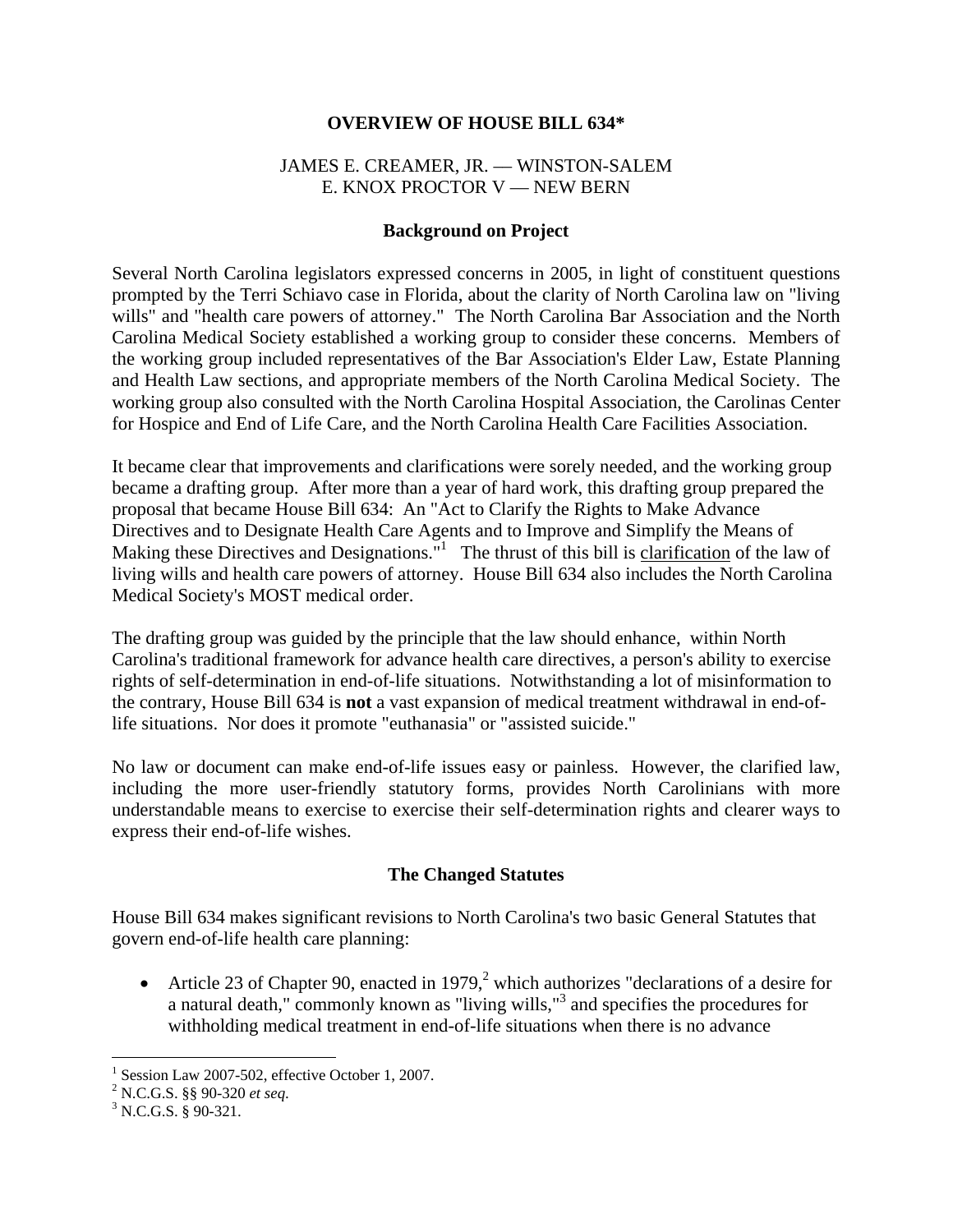#### **OVERVIEW OF HOUSE BILL 634\***

#### JAMES E. CREAMER, JR. –– WINSTON-SALEM E. KNOX PROCTOR V - NEW BERN

#### **Background on Project**

Several North Carolina legislators expressed concerns in 2005, in light of constituent questions prompted by the Terri Schiavo case in Florida, about the clarity of North Carolina law on "living wills" and "health care powers of attorney." The North Carolina Bar Association and the North Carolina Medical Society established a working group to consider these concerns. Members of the working group included representatives of the Bar Association's Elder Law, Estate Planning and Health Law sections, and appropriate members of the North Carolina Medical Society. The working group also consulted with the North Carolina Hospital Association, the Carolinas Center for Hospice and End of Life Care, and the North Carolina Health Care Facilities Association.

It became clear that improvements and clarifications were sorely needed, and the working group became a drafting group. After more than a year of hard work, this drafting group prepared the proposal that became House Bill 634: An "Act to Clarify the Rights to Make Advance Directives and to Designate Health Care Agents and to Improve and Simplify the Means of Making these Directives and Designations."<sup>1</sup> The thrust of this bill is clarification of the law of living wills and health care powers of attorney. House Bill 634 also includes the North Carolina Medical Society's MOST medical order.

The drafting group was guided by the principle that the law should enhance, within North Carolina's traditional framework for advance health care directives, a person's ability to exercise rights of self-determination in end-of-life situations. Notwithstanding a lot of misinformation to the contrary, House Bill 634 is **not** a vast expansion of medical treatment withdrawal in end-oflife situations. Nor does it promote "euthanasia" or "assisted suicide."

No law or document can make end-of-life issues easy or painless. However, the clarified law, including the more user-friendly statutory forms, provides North Carolinians with more understandable means to exercise to exercise their self-determination rights and clearer ways to express their end-of-life wishes.

#### **The Changed Statutes**

House Bill 634 makes significant revisions to North Carolina's two basic General Statutes that govern end-of-life health care planning:

• Article 23 of Chapter 90, enacted in 1979,<sup>2</sup> which authorizes "declarations of a desire for a natural death," commonly known as "living wills,"<sup>3</sup> and specifies the procedures for withholding medical treatment in end-of-life situations when there is no advance

 1 Session Law 2007-502, effective October 1, 2007.

<sup>&</sup>lt;sup>2</sup> N.C.G.S. §§ 90-320 *et seq.*  $3 \times C$  G S  $\frac{8}{3}$  90.321

 $3$  N.C.G.S. § 90-321.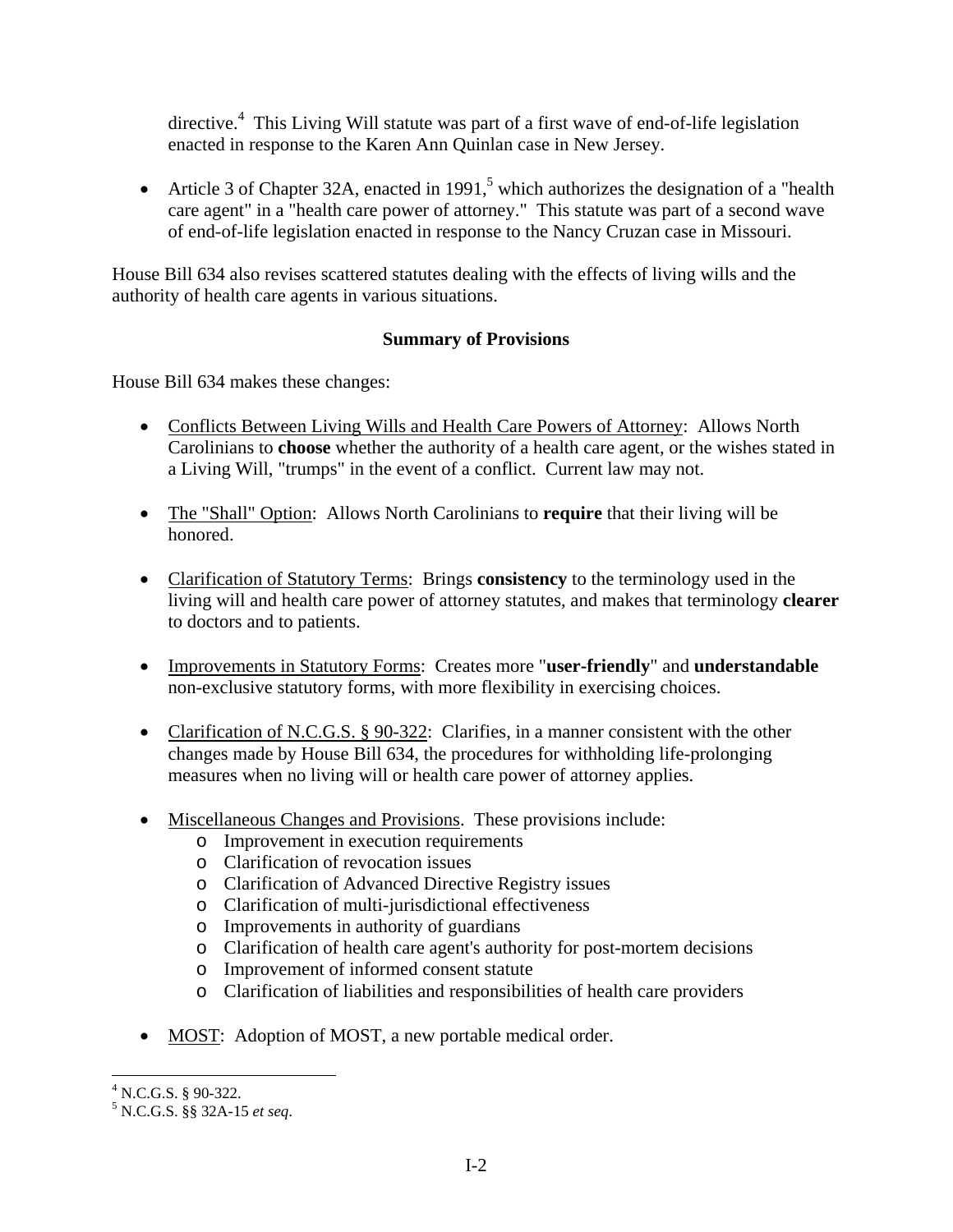directive.<sup>4</sup> This Living Will statute was part of a first wave of end-of-life legislation enacted in response to the Karen Ann Quinlan case in New Jersey.

• Article 3 of Chapter 32A, enacted in 1991,<sup>5</sup> which authorizes the designation of a "health" care agent" in a "health care power of attorney." This statute was part of a second wave of end-of-life legislation enacted in response to the Nancy Cruzan case in Missouri.

House Bill 634 also revises scattered statutes dealing with the effects of living wills and the authority of health care agents in various situations.

# **Summary of Provisions**

House Bill 634 makes these changes:

- Conflicts Between Living Wills and Health Care Powers of Attorney: Allows North Carolinians to **choose** whether the authority of a health care agent, or the wishes stated in a Living Will, "trumps" in the event of a conflict. Current law may not.
- The "Shall" Option: Allows North Carolinians to **require** that their living will be honored.
- Clarification of Statutory Terms: Brings **consistency** to the terminology used in the living will and health care power of attorney statutes, and makes that terminology **clearer** to doctors and to patients.
- Improvements in Statutory Forms: Creates more "**user-friendly**" and **understandable** non-exclusive statutory forms, with more flexibility in exercising choices.
- Clarification of N.C.G.S. § 90-322: Clarifies, in a manner consistent with the other changes made by House Bill 634, the procedures for withholding life-prolonging measures when no living will or health care power of attorney applies.
- Miscellaneous Changes and Provisions. These provisions include:
	- o Improvement in execution requirements
	- o Clarification of revocation issues
	- o Clarification of Advanced Directive Registry issues
	- o Clarification of multi-jurisdictional effectiveness
	- o Improvements in authority of guardians
	- o Clarification of health care agent's authority for post-mortem decisions
	- o Improvement of informed consent statute
	- o Clarification of liabilities and responsibilities of health care providers
- MOST: Adoption of MOST, a new portable medical order.

 4 N.C.G.S. § 90-322.

<sup>5</sup> N.C.G.S. §§ 32A-15 *et seq*.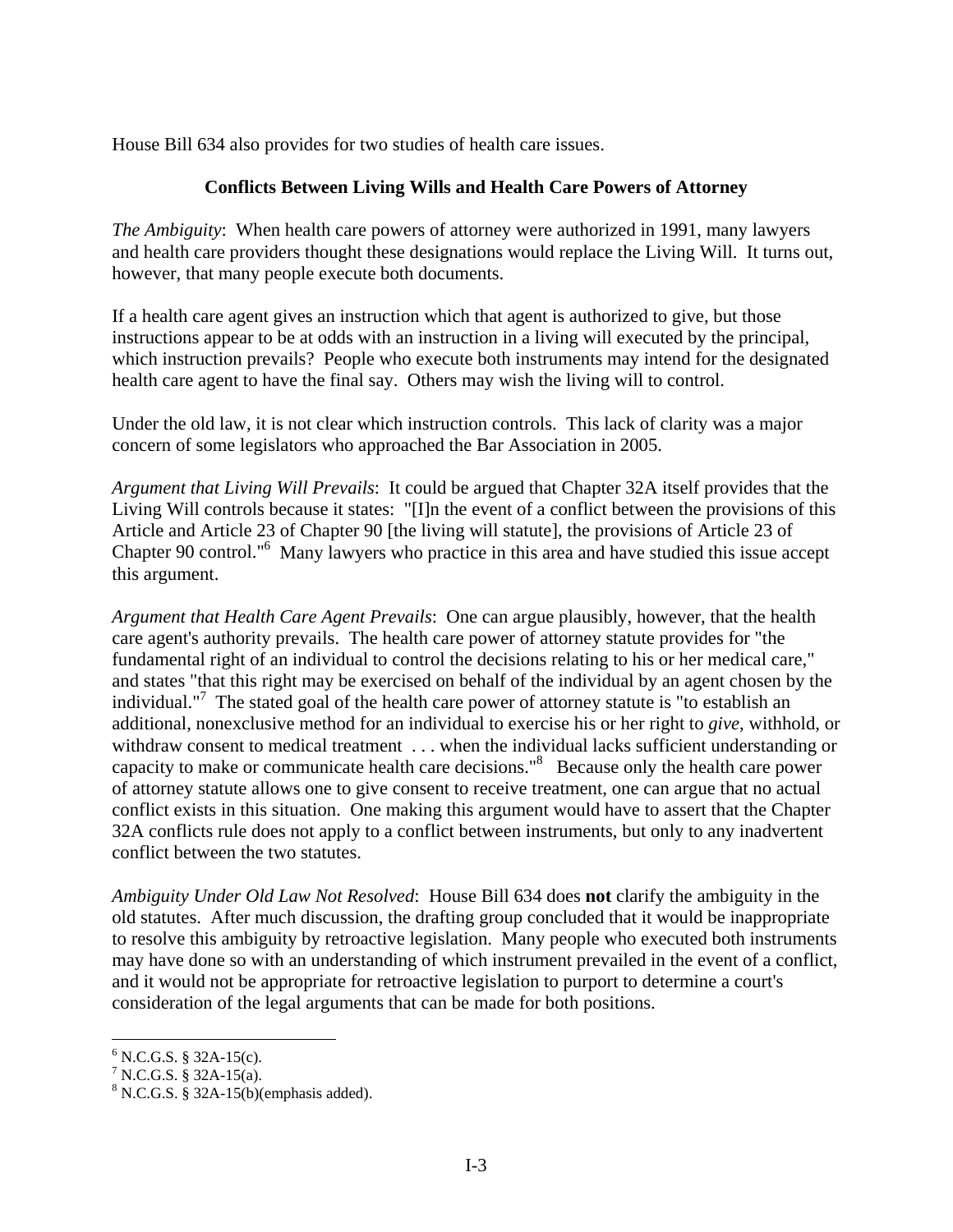House Bill 634 also provides for two studies of health care issues.

## **Conflicts Between Living Wills and Health Care Powers of Attorney**

*The Ambiguity*: When health care powers of attorney were authorized in 1991, many lawyers and health care providers thought these designations would replace the Living Will. It turns out, however, that many people execute both documents.

If a health care agent gives an instruction which that agent is authorized to give, but those instructions appear to be at odds with an instruction in a living will executed by the principal, which instruction prevails? People who execute both instruments may intend for the designated health care agent to have the final say. Others may wish the living will to control.

Under the old law, it is not clear which instruction controls. This lack of clarity was a major concern of some legislators who approached the Bar Association in 2005.

*Argument that Living Will Prevails*: It could be argued that Chapter 32A itself provides that the Living Will controls because it states: "[I]n the event of a conflict between the provisions of this Article and Article 23 of Chapter 90 [the living will statute], the provisions of Article 23 of Chapter 90 control."6 Many lawyers who practice in this area and have studied this issue accept this argument.

*Argument that Health Care Agent Prevails*: One can argue plausibly, however, that the health care agent's authority prevails. The health care power of attorney statute provides for "the fundamental right of an individual to control the decisions relating to his or her medical care," and states "that this right may be exercised on behalf of the individual by an agent chosen by the individual."<sup>7</sup> The stated goal of the health care power of attorney statute is "to establish an additional, nonexclusive method for an individual to exercise his or her right to *give*, withhold, or withdraw consent to medical treatment . . . when the individual lacks sufficient understanding or capacity to make or communicate health care decisions."8 Because only the health care power of attorney statute allows one to give consent to receive treatment, one can argue that no actual conflict exists in this situation. One making this argument would have to assert that the Chapter 32A conflicts rule does not apply to a conflict between instruments, but only to any inadvertent conflict between the two statutes.

*Ambiguity Under Old Law Not Resolved*: House Bill 634 does **not** clarify the ambiguity in the old statutes. After much discussion, the drafting group concluded that it would be inappropriate to resolve this ambiguity by retroactive legislation. Many people who executed both instruments may have done so with an understanding of which instrument prevailed in the event of a conflict, and it would not be appropriate for retroactive legislation to purport to determine a court's consideration of the legal arguments that can be made for both positions.

 $6$  N.C.G.S. § 32A-15(c).

 $7 N.C.G.S. \$  32A-15(a).

 $8 N.C.G.S. § 32A-15(b)(emphasis added).$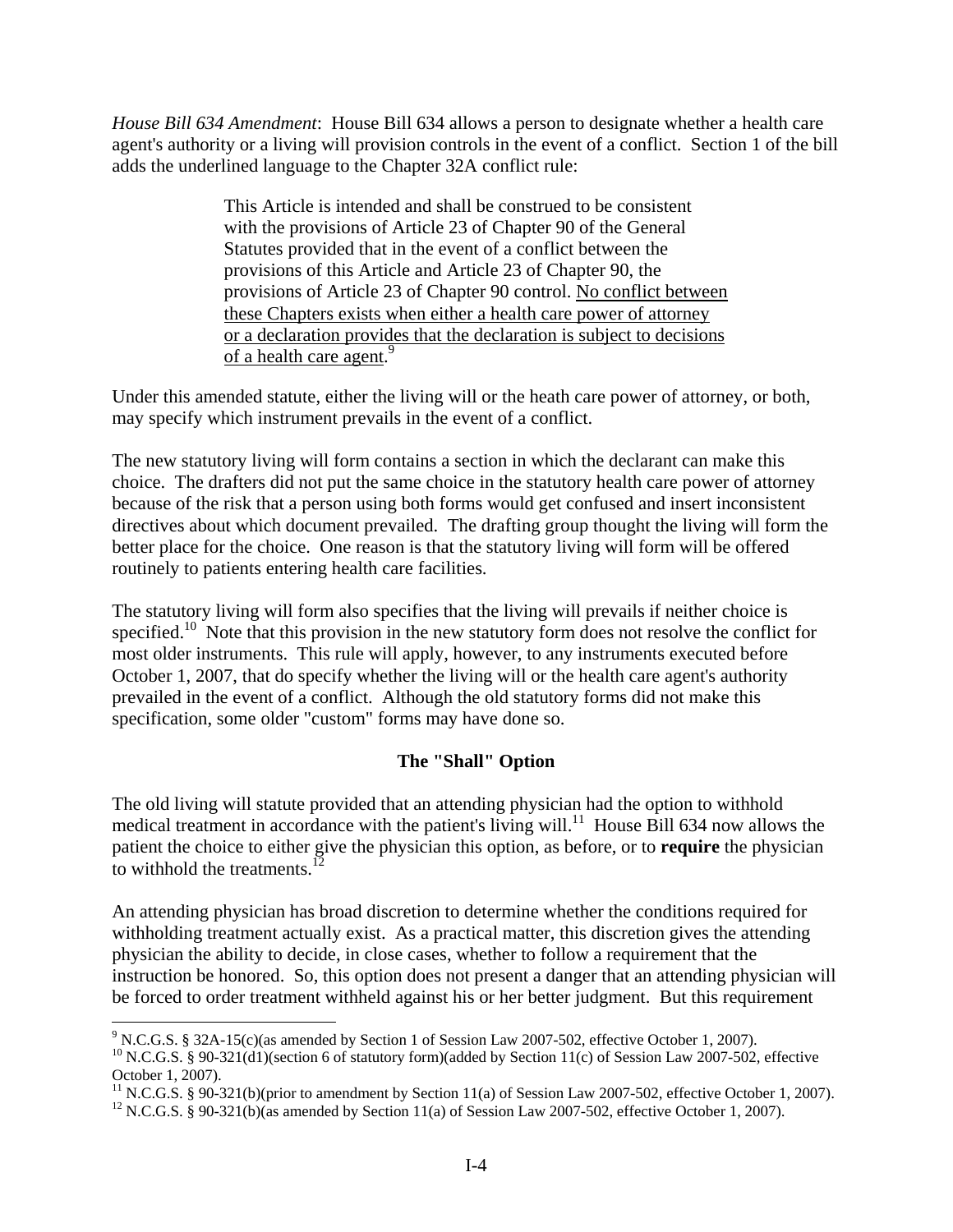*House Bill 634 Amendment*: House Bill 634 allows a person to designate whether a health care agent's authority or a living will provision controls in the event of a conflict. Section 1 of the bill adds the underlined language to the Chapter 32A conflict rule:

> This Article is intended and shall be construed to be consistent with the provisions of Article 23 of Chapter 90 of the General Statutes provided that in the event of a conflict between the provisions of this Article and Article 23 of Chapter 90, the provisions of Article 23 of Chapter 90 control. No conflict between these Chapters exists when either a health care power of attorney or a declaration provides that the declaration is subject to decisions of a health care agent.<sup>9</sup>

Under this amended statute, either the living will or the heath care power of attorney, or both, may specify which instrument prevails in the event of a conflict.

The new statutory living will form contains a section in which the declarant can make this choice. The drafters did not put the same choice in the statutory health care power of attorney because of the risk that a person using both forms would get confused and insert inconsistent directives about which document prevailed. The drafting group thought the living will form the better place for the choice. One reason is that the statutory living will form will be offered routinely to patients entering health care facilities.

The statutory living will form also specifies that the living will prevails if neither choice is specified.<sup>10</sup> Note that this provision in the new statutory form does not resolve the conflict for most older instruments. This rule will apply, however, to any instruments executed before October 1, 2007, that do specify whether the living will or the health care agent's authority prevailed in the event of a conflict. Although the old statutory forms did not make this specification, some older "custom" forms may have done so.

## **The "Shall" Option**

The old living will statute provided that an attending physician had the option to withhold medical treatment in accordance with the patient's living will.<sup>11</sup> House Bill 634 now allows the patient the choice to either give the physician this option, as before, or to **require** the physician to withhold the treatments.<sup>12</sup>

An attending physician has broad discretion to determine whether the conditions required for withholding treatment actually exist. As a practical matter, this discretion gives the attending physician the ability to decide, in close cases, whether to follow a requirement that the instruction be honored. So, this option does not present a danger that an attending physician will be forced to order treatment withheld against his or her better judgment. But this requirement

1

<sup>&</sup>lt;sup>9</sup> N.C.G.S. § 32A-15(c)(as amended by Section 1 of Session Law 2007-502, effective October 1, 2007).

<sup>&</sup>lt;sup>10</sup> N.C.G.S. § 90-321(d1)(section 6 of statutory form)(added by Section 11(c) of Session Law 2007-502, effective October 1, 2007).

<sup>&</sup>lt;sup>11</sup> N.C.G.S. § 90-321(b)(prior to amendment by Section 11(a) of Session Law 2007-502, effective October 1, 2007).

<sup>&</sup>lt;sup>12</sup> N.C.G.S. § 90-321(b)(as amended by Section 11(a) of Session Law 2007-502, effective October 1, 2007).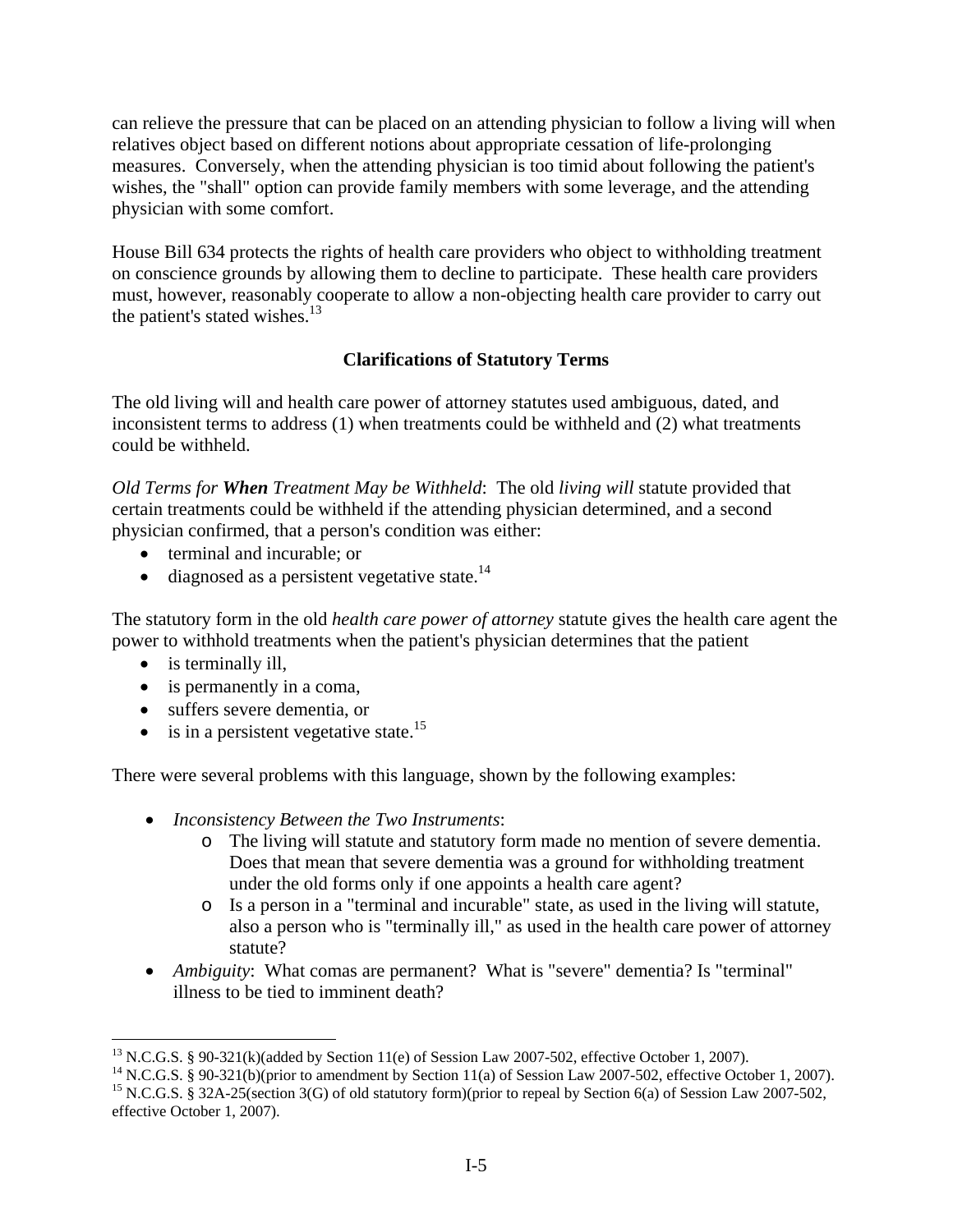can relieve the pressure that can be placed on an attending physician to follow a living will when relatives object based on different notions about appropriate cessation of life-prolonging measures. Conversely, when the attending physician is too timid about following the patient's wishes, the "shall" option can provide family members with some leverage, and the attending physician with some comfort.

House Bill 634 protects the rights of health care providers who object to withholding treatment on conscience grounds by allowing them to decline to participate. These health care providers must, however, reasonably cooperate to allow a non-objecting health care provider to carry out the patient's stated wishes. $13$ 

# **Clarifications of Statutory Terms**

The old living will and health care power of attorney statutes used ambiguous, dated, and inconsistent terms to address (1) when treatments could be withheld and (2) what treatments could be withheld.

*Old Terms for When Treatment May be Withheld*: The old *living will* statute provided that certain treatments could be withheld if the attending physician determined, and a second physician confirmed, that a person's condition was either:

- terminal and incurable; or
- diagnosed as a persistent vegetative state. $^{14}$

The statutory form in the old *health care power of attorney* statute gives the health care agent the power to withhold treatments when the patient's physician determines that the patient

• is terminally ill,

 $\overline{a}$ 

- is permanently in a coma,
- suffers severe dementia, or
- is in a persistent vegetative state.<sup>15</sup>

There were several problems with this language, shown by the following examples:

- *Inconsistency Between the Two Instruments*:
	- o The living will statute and statutory form made no mention of severe dementia. Does that mean that severe dementia was a ground for withholding treatment under the old forms only if one appoints a health care agent?
	- o Is a person in a "terminal and incurable" state, as used in the living will statute, also a person who is "terminally ill," as used in the health care power of attorney statute?
- *Ambiguity*: What comas are permanent? What is "severe" dementia? Is "terminal" illness to be tied to imminent death?

<sup>&</sup>lt;sup>13</sup> N.C.G.S. § 90-321(k)(added by Section 11(e) of Session Law 2007-502, effective October 1, 2007).

<sup>&</sup>lt;sup>14</sup> N.C.G.S. § 90-321(b)(prior to amendment by Section 11(a) of Session Law 2007-502, effective October 1, 2007).

<sup>&</sup>lt;sup>15</sup> N.C.G.S. § 32A-25(section 3(G) of old statutory form)(prior to repeal by Section 6(a) of Session Law 2007-502, effective October 1, 2007).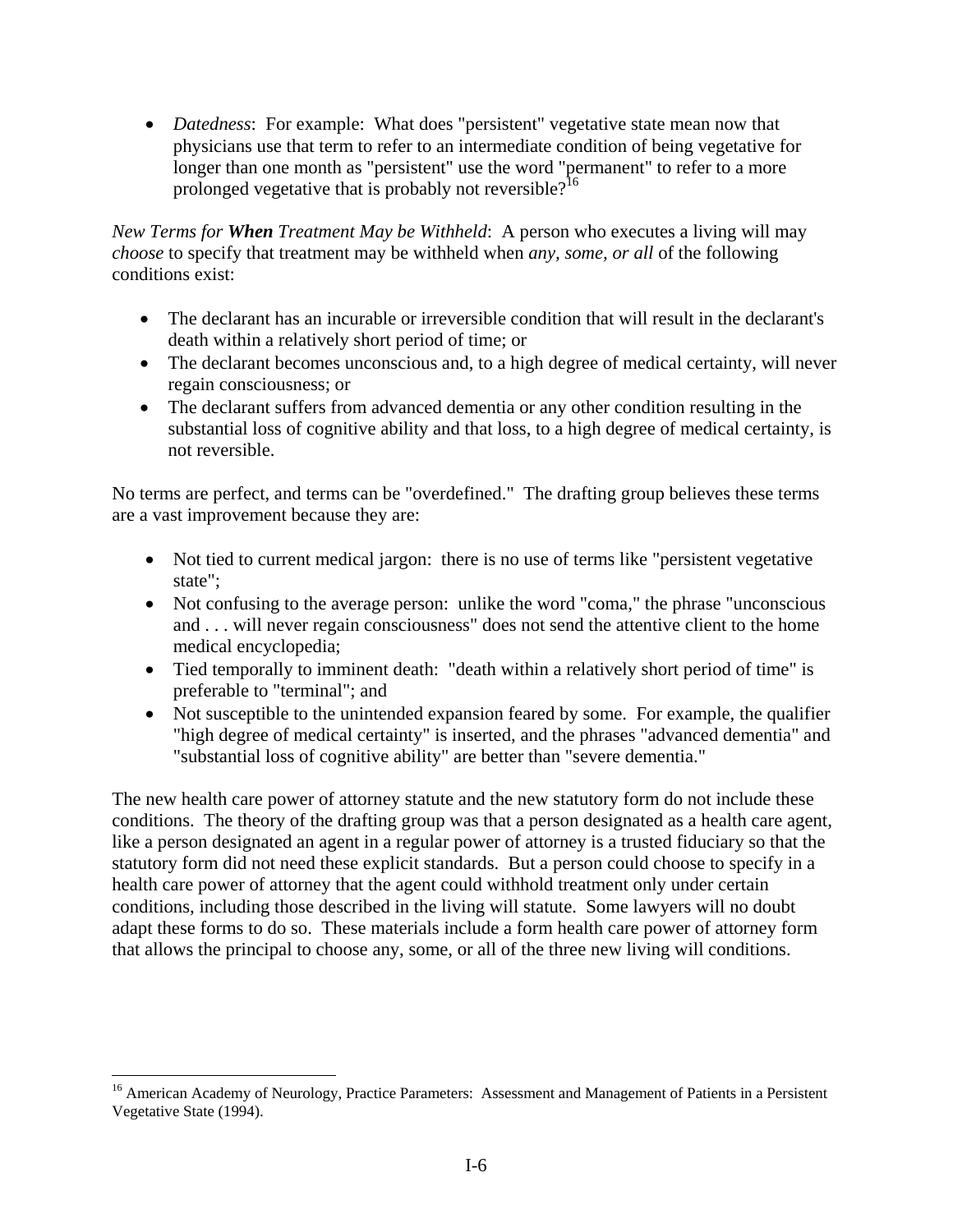• *Datedness*: For example: What does "persistent" vegetative state mean now that physicians use that term to refer to an intermediate condition of being vegetative for longer than one month as "persistent" use the word "permanent" to refer to a more prolonged vegetative that is probably not reversible?<sup>16</sup>

*New Terms for When Treatment May be Withheld*: A person who executes a living will may *choose* to specify that treatment may be withheld when *any, some, or all* of the following conditions exist:

- The declarant has an incurable or irreversible condition that will result in the declarant's death within a relatively short period of time; or
- The declarant becomes unconscious and, to a high degree of medical certainty, will never regain consciousness; or
- The declarant suffers from advanced dementia or any other condition resulting in the substantial loss of cognitive ability and that loss, to a high degree of medical certainty, is not reversible.

No terms are perfect, and terms can be "overdefined." The drafting group believes these terms are a vast improvement because they are:

- Not tied to current medical jargon: there is no use of terms like "persistent vegetative" state";
- Not confusing to the average person: unlike the word "coma," the phrase "unconscious and . . . will never regain consciousness" does not send the attentive client to the home medical encyclopedia;
- Tied temporally to imminent death: "death within a relatively short period of time" is preferable to "terminal"; and
- Not susceptible to the unintended expansion feared by some. For example, the qualifier "high degree of medical certainty" is inserted, and the phrases "advanced dementia" and "substantial loss of cognitive ability" are better than "severe dementia."

The new health care power of attorney statute and the new statutory form do not include these conditions. The theory of the drafting group was that a person designated as a health care agent, like a person designated an agent in a regular power of attorney is a trusted fiduciary so that the statutory form did not need these explicit standards. But a person could choose to specify in a health care power of attorney that the agent could withhold treatment only under certain conditions, including those described in the living will statute. Some lawyers will no doubt adapt these forms to do so. These materials include a form health care power of attorney form that allows the principal to choose any, some, or all of the three new living will conditions.

<sup>&</sup>lt;sup>16</sup> American Academy of Neurology, Practice Parameters: Assessment and Management of Patients in a Persistent Vegetative State (1994).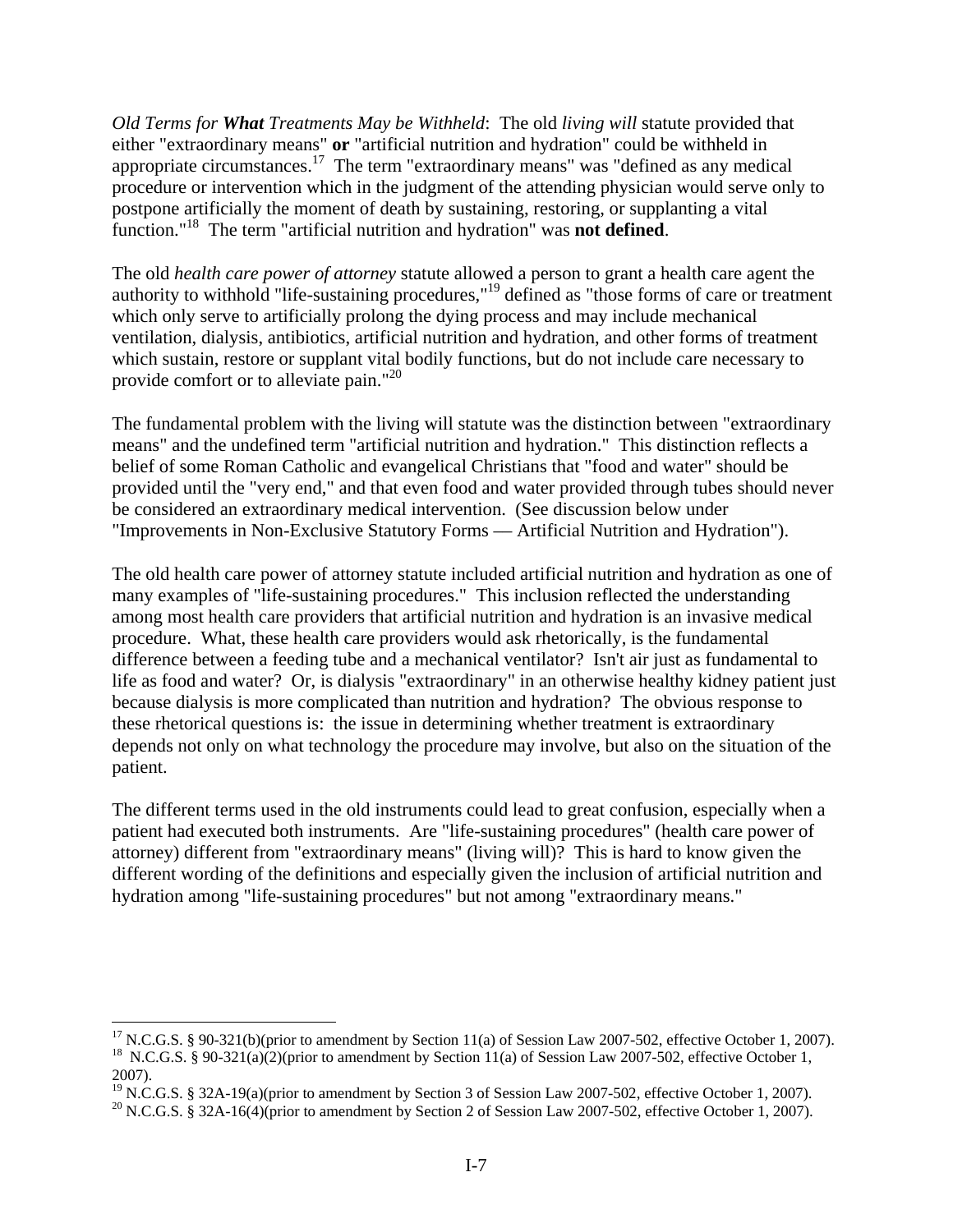*Old Terms for What Treatments May be Withheld*: The old *living will* statute provided that either "extraordinary means" **or** "artificial nutrition and hydration" could be withheld in appropriate circumstances.17 The term "extraordinary means" was "defined as any medical procedure or intervention which in the judgment of the attending physician would serve only to postpone artificially the moment of death by sustaining, restoring, or supplanting a vital function."18 The term "artificial nutrition and hydration" was **not defined**.

The old *health care power of attorney* statute allowed a person to grant a health care agent the authority to withhold "life-sustaining procedures,"19 defined as "those forms of care or treatment which only serve to artificially prolong the dying process and may include mechanical ventilation, dialysis, antibiotics, artificial nutrition and hydration, and other forms of treatment which sustain, restore or supplant vital bodily functions, but do not include care necessary to provide comfort or to alleviate pain."<sup>20</sup>

The fundamental problem with the living will statute was the distinction between "extraordinary means" and the undefined term "artificial nutrition and hydration." This distinction reflects a belief of some Roman Catholic and evangelical Christians that "food and water" should be provided until the "very end," and that even food and water provided through tubes should never be considered an extraordinary medical intervention. (See discussion below under "Improvements in Non-Exclusive Statutory Forms –– Artificial Nutrition and Hydration").

The old health care power of attorney statute included artificial nutrition and hydration as one of many examples of "life-sustaining procedures." This inclusion reflected the understanding among most health care providers that artificial nutrition and hydration is an invasive medical procedure. What, these health care providers would ask rhetorically, is the fundamental difference between a feeding tube and a mechanical ventilator? Isn't air just as fundamental to life as food and water? Or, is dialysis "extraordinary" in an otherwise healthy kidney patient just because dialysis is more complicated than nutrition and hydration? The obvious response to these rhetorical questions is: the issue in determining whether treatment is extraordinary depends not only on what technology the procedure may involve, but also on the situation of the patient.

The different terms used in the old instruments could lead to great confusion, especially when a patient had executed both instruments. Are "life-sustaining procedures" (health care power of attorney) different from "extraordinary means" (living will)? This is hard to know given the different wording of the definitions and especially given the inclusion of artificial nutrition and hydration among "life-sustaining procedures" but not among "extraordinary means."

<sup>&</sup>lt;sup>17</sup> N.C.G.S. § 90-321(b)(prior to amendment by Section 11(a) of Session Law 2007-502, effective October 1, 2007). <sup>18</sup> N.C.G.S. § 90-321(a)(2)(prior to amendment by Section 11(a) of Session Law 2007-502, effective October 1, 2007).

<sup>&</sup>lt;sup>19</sup> N.C.G.S. § 32A-19(a)(prior to amendment by Section 3 of Session Law 2007-502, effective October 1, 2007).

<sup>&</sup>lt;sup>20</sup> N.C.G.S. § 32A-16(4)(prior to amendment by Section 2 of Session Law 2007-502, effective October 1, 2007).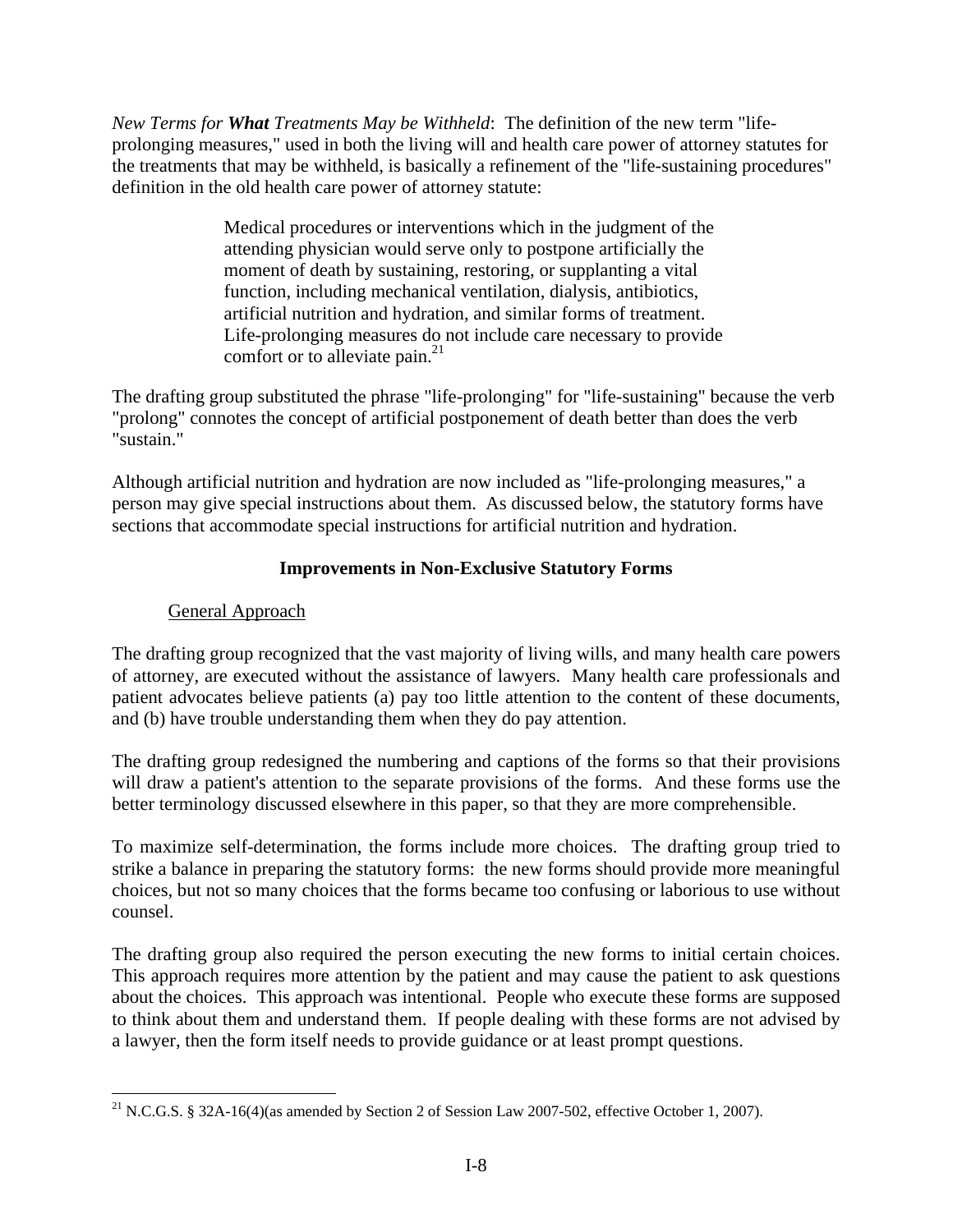*New Terms for What Treatments May be Withheld*: The definition of the new term "lifeprolonging measures," used in both the living will and health care power of attorney statutes for the treatments that may be withheld, is basically a refinement of the "life-sustaining procedures" definition in the old health care power of attorney statute:

> Medical procedures or interventions which in the judgment of the attending physician would serve only to postpone artificially the moment of death by sustaining, restoring, or supplanting a vital function, including mechanical ventilation, dialysis, antibiotics, artificial nutrition and hydration, and similar forms of treatment. Life-prolonging measures do not include care necessary to provide comfort or to alleviate pain. $^{21}$

The drafting group substituted the phrase "life-prolonging" for "life-sustaining" because the verb "prolong" connotes the concept of artificial postponement of death better than does the verb "sustain."

Although artificial nutrition and hydration are now included as "life-prolonging measures," a person may give special instructions about them. As discussed below, the statutory forms have sections that accommodate special instructions for artificial nutrition and hydration.

# **Improvements in Non-Exclusive Statutory Forms**

# General Approach

 $\overline{a}$ 

The drafting group recognized that the vast majority of living wills, and many health care powers of attorney, are executed without the assistance of lawyers. Many health care professionals and patient advocates believe patients (a) pay too little attention to the content of these documents, and (b) have trouble understanding them when they do pay attention.

The drafting group redesigned the numbering and captions of the forms so that their provisions will draw a patient's attention to the separate provisions of the forms. And these forms use the better terminology discussed elsewhere in this paper, so that they are more comprehensible.

To maximize self-determination, the forms include more choices. The drafting group tried to strike a balance in preparing the statutory forms: the new forms should provide more meaningful choices, but not so many choices that the forms became too confusing or laborious to use without counsel.

The drafting group also required the person executing the new forms to initial certain choices. This approach requires more attention by the patient and may cause the patient to ask questions about the choices. This approach was intentional. People who execute these forms are supposed to think about them and understand them. If people dealing with these forms are not advised by a lawyer, then the form itself needs to provide guidance or at least prompt questions.

<sup>&</sup>lt;sup>21</sup> N.C.G.S. § 32A-16(4)(as amended by Section 2 of Session Law 2007-502, effective October 1, 2007).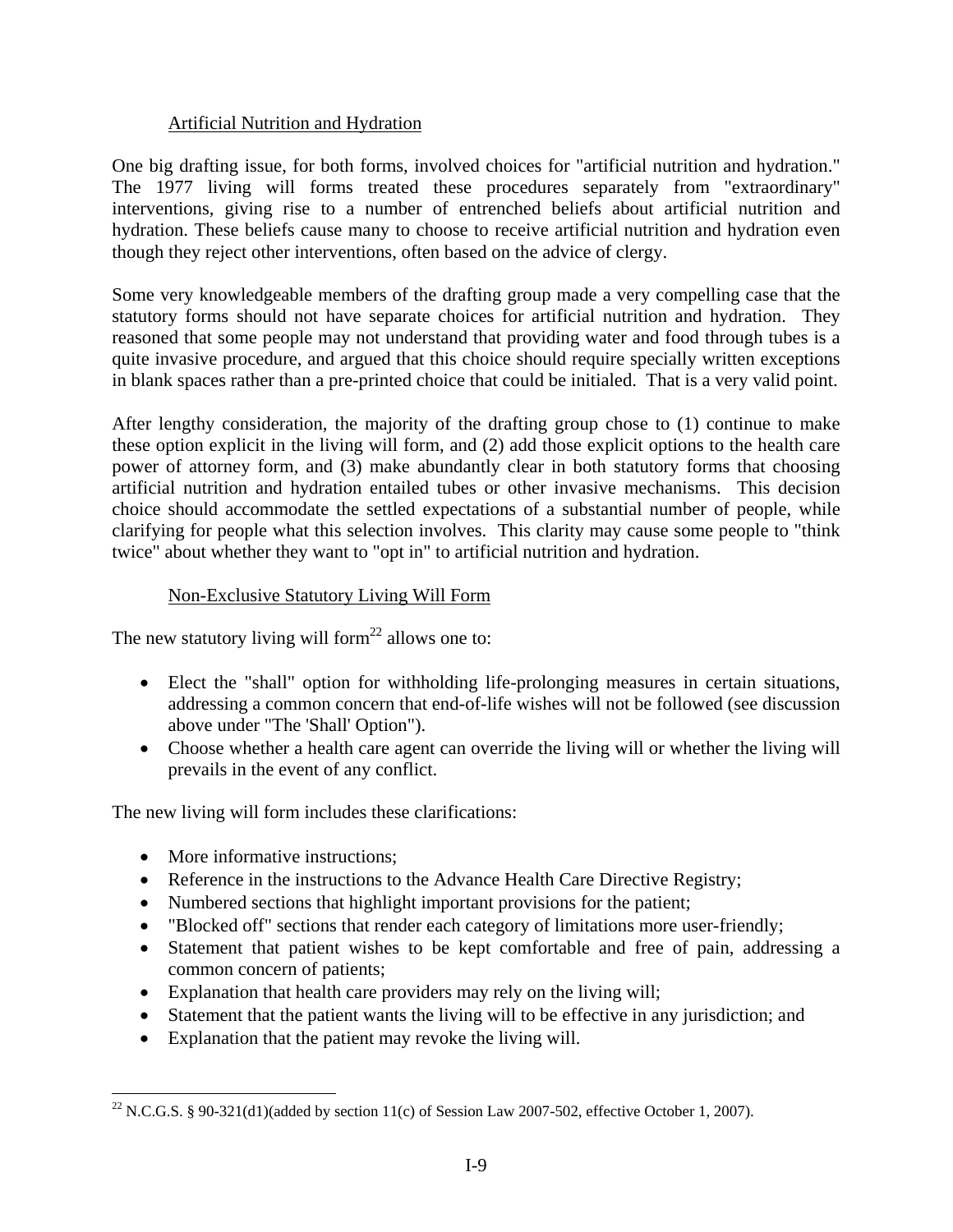## Artificial Nutrition and Hydration

One big drafting issue, for both forms, involved choices for "artificial nutrition and hydration." The 1977 living will forms treated these procedures separately from "extraordinary" interventions, giving rise to a number of entrenched beliefs about artificial nutrition and hydration. These beliefs cause many to choose to receive artificial nutrition and hydration even though they reject other interventions, often based on the advice of clergy.

Some very knowledgeable members of the drafting group made a very compelling case that the statutory forms should not have separate choices for artificial nutrition and hydration. They reasoned that some people may not understand that providing water and food through tubes is a quite invasive procedure, and argued that this choice should require specially written exceptions in blank spaces rather than a pre-printed choice that could be initialed. That is a very valid point.

After lengthy consideration, the majority of the drafting group chose to (1) continue to make these option explicit in the living will form, and (2) add those explicit options to the health care power of attorney form, and (3) make abundantly clear in both statutory forms that choosing artificial nutrition and hydration entailed tubes or other invasive mechanisms. This decision choice should accommodate the settled expectations of a substantial number of people, while clarifying for people what this selection involves. This clarity may cause some people to "think twice" about whether they want to "opt in" to artificial nutrition and hydration.

# Non-Exclusive Statutory Living Will Form

The new statutory living will form<sup>22</sup> allows one to:

- Elect the "shall" option for withholding life-prolonging measures in certain situations, addressing a common concern that end-of-life wishes will not be followed (see discussion above under "The 'Shall' Option").
- Choose whether a health care agent can override the living will or whether the living will prevails in the event of any conflict.

The new living will form includes these clarifications:

• More informative instructions:

- Reference in the instructions to the Advance Health Care Directive Registry;
- Numbered sections that highlight important provisions for the patient;
- "Blocked off" sections that render each category of limitations more user-friendly;
- Statement that patient wishes to be kept comfortable and free of pain, addressing a common concern of patients;
- Explanation that health care providers may rely on the living will;
- Statement that the patient wants the living will to be effective in any jurisdiction; and
- Explanation that the patient may revoke the living will.

<sup>&</sup>lt;sup>22</sup> N.C.G.S. § 90-321(d1)(added by section 11(c) of Session Law 2007-502, effective October 1, 2007).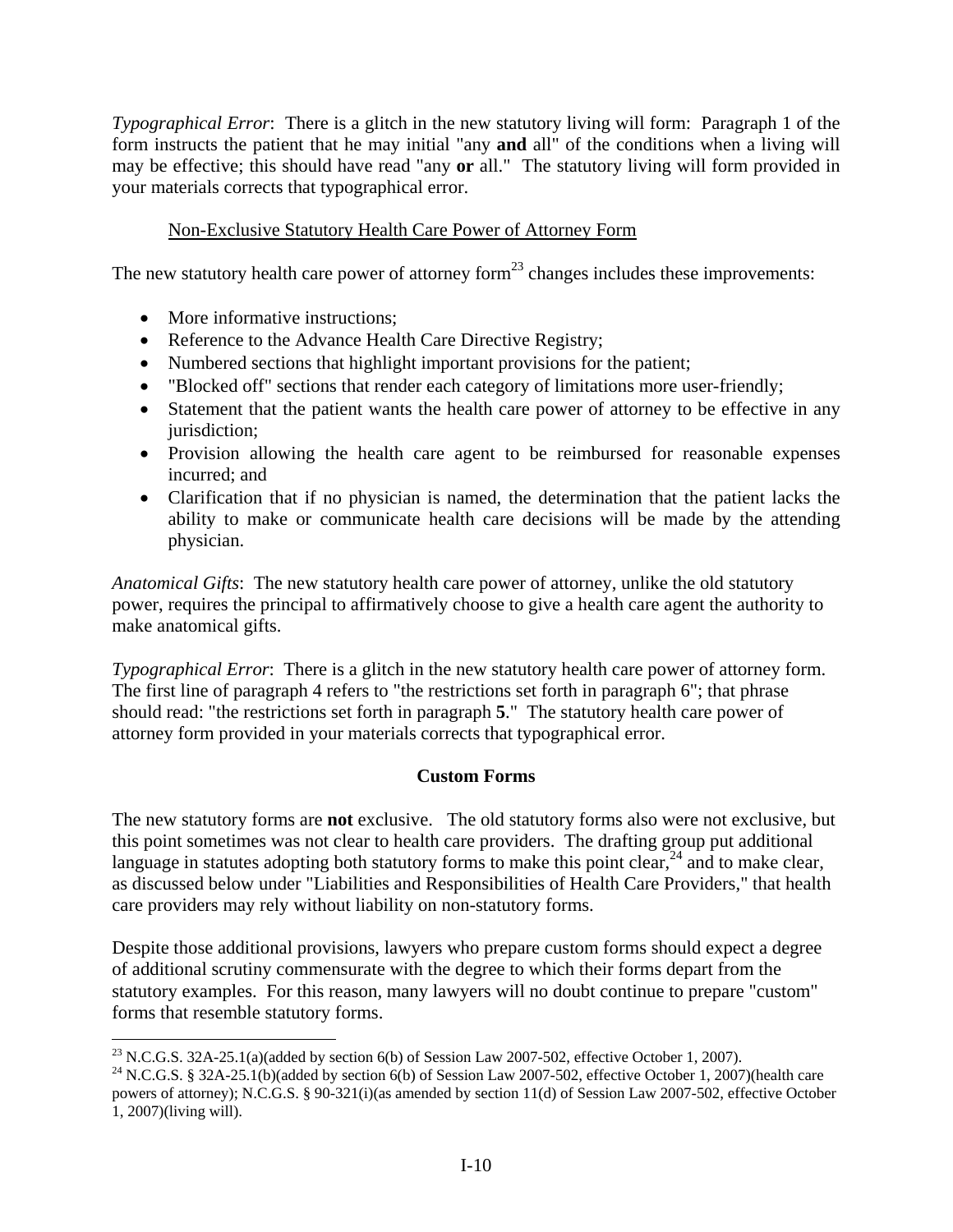*Typographical Error*: There is a glitch in the new statutory living will form: Paragraph 1 of the form instructs the patient that he may initial "any **and** all" of the conditions when a living will may be effective; this should have read "any **or** all." The statutory living will form provided in your materials corrects that typographical error.

## Non-Exclusive Statutory Health Care Power of Attorney Form

The new statutory health care power of attorney form $^{23}$  changes includes these improvements:

• More informative instructions;

 $\overline{a}$ 

- Reference to the Advance Health Care Directive Registry;
- Numbered sections that highlight important provisions for the patient;
- "Blocked off" sections that render each category of limitations more user-friendly;
- Statement that the patient wants the health care power of attorney to be effective in any jurisdiction;
- Provision allowing the health care agent to be reimbursed for reasonable expenses incurred; and
- Clarification that if no physician is named, the determination that the patient lacks the ability to make or communicate health care decisions will be made by the attending physician.

*Anatomical Gifts*: The new statutory health care power of attorney, unlike the old statutory power, requires the principal to affirmatively choose to give a health care agent the authority to make anatomical gifts.

*Typographical Error*: There is a glitch in the new statutory health care power of attorney form. The first line of paragraph 4 refers to "the restrictions set forth in paragraph 6"; that phrase should read: "the restrictions set forth in paragraph **5**." The statutory health care power of attorney form provided in your materials corrects that typographical error.

## **Custom Forms**

The new statutory forms are **not** exclusive. The old statutory forms also were not exclusive, but this point sometimes was not clear to health care providers. The drafting group put additional language in statutes adopting both statutory forms to make this point clear,<sup>24</sup> and to make clear, as discussed below under "Liabilities and Responsibilities of Health Care Providers," that health care providers may rely without liability on non-statutory forms.

Despite those additional provisions, lawyers who prepare custom forms should expect a degree of additional scrutiny commensurate with the degree to which their forms depart from the statutory examples. For this reason, many lawyers will no doubt continue to prepare "custom" forms that resemble statutory forms.

<sup>&</sup>lt;sup>23</sup> N.C.G.S. 32A-25.1(a)(added by section 6(b) of Session Law 2007-502, effective October 1, 2007).

<sup>&</sup>lt;sup>24</sup> N.C.G.S. § 32A-25.1(b)(added by section 6(b) of Session Law 2007-502, effective October 1, 2007)(health care powers of attorney); N.C.G.S. § 90-321(i)(as amended by section 11(d) of Session Law 2007-502, effective October 1, 2007)(living will).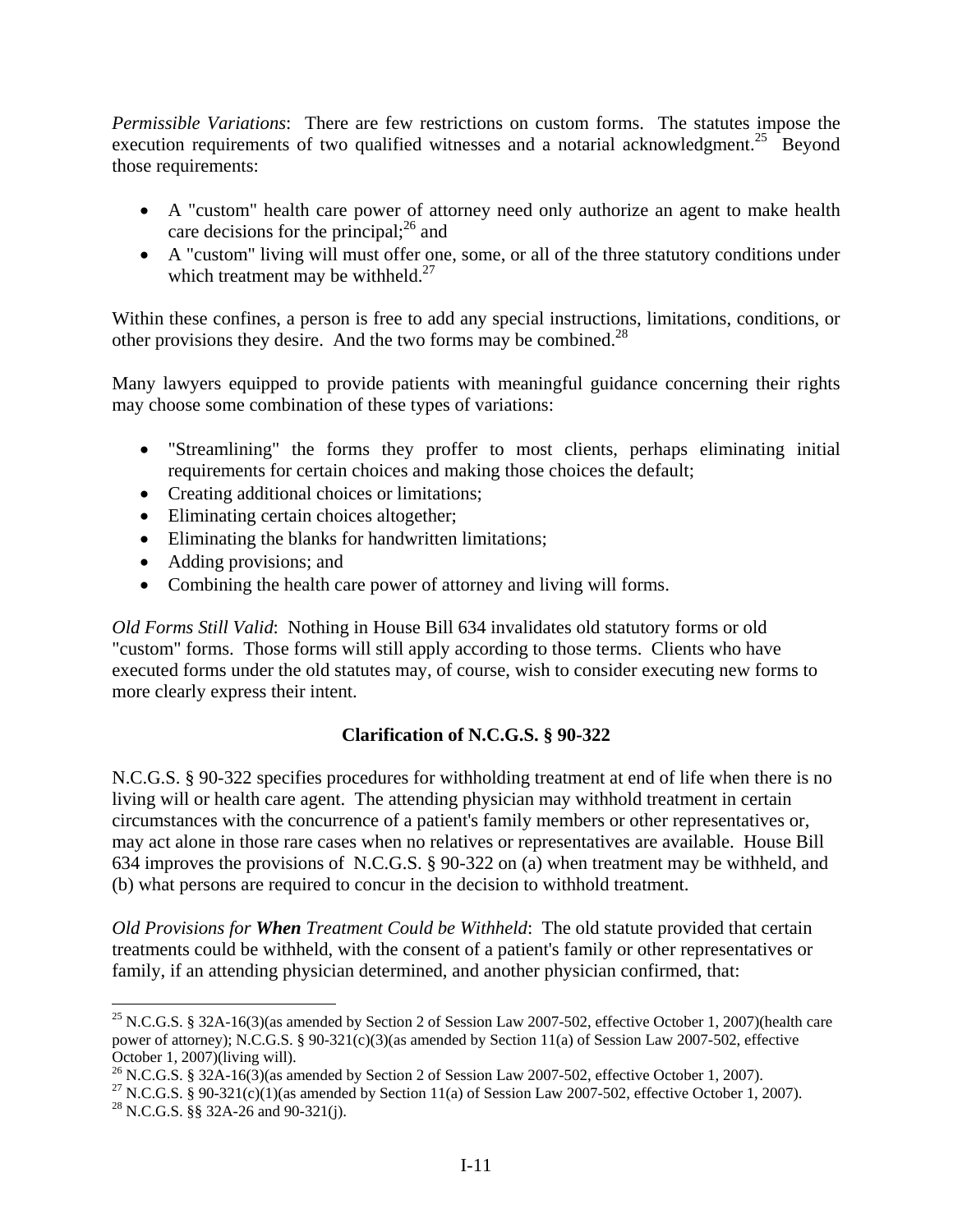*Permissible Variations*: There are few restrictions on custom forms. The statutes impose the execution requirements of two qualified witnesses and a notarial acknowledgment.<sup>25</sup> Beyond those requirements:

- A "custom" health care power of attorney need only authorize an agent to make health care decisions for the principal; $^{26}$  and
- A "custom" living will must offer one, some, or all of the three statutory conditions under which treatment may be withheld. $^{27}$

Within these confines, a person is free to add any special instructions, limitations, conditions, or other provisions they desire. And the two forms may be combined.<sup>28</sup>

Many lawyers equipped to provide patients with meaningful guidance concerning their rights may choose some combination of these types of variations:

- "Streamlining" the forms they proffer to most clients, perhaps eliminating initial requirements for certain choices and making those choices the default;
- Creating additional choices or limitations;
- Eliminating certain choices altogether;
- Eliminating the blanks for handwritten limitations;
- Adding provisions; and
- Combining the health care power of attorney and living will forms.

*Old Forms Still Valid*: Nothing in House Bill 634 invalidates old statutory forms or old "custom" forms. Those forms will still apply according to those terms. Clients who have executed forms under the old statutes may, of course, wish to consider executing new forms to more clearly express their intent.

## **Clarification of N.C.G.S. § 90-322**

N.C.G.S. § 90-322 specifies procedures for withholding treatment at end of life when there is no living will or health care agent. The attending physician may withhold treatment in certain circumstances with the concurrence of a patient's family members or other representatives or, may act alone in those rare cases when no relatives or representatives are available. House Bill 634 improves the provisions of N.C.G.S. § 90-322 on (a) when treatment may be withheld, and (b) what persons are required to concur in the decision to withhold treatment.

*Old Provisions for When Treatment Could be Withheld*: The old statute provided that certain treatments could be withheld, with the consent of a patient's family or other representatives or family, if an attending physician determined, and another physician confirmed, that:

 $\overline{a}$ <sup>25</sup> N.C.G.S. § 32A-16(3)(as amended by Section 2 of Session Law 2007-502, effective October 1, 2007)(health care power of attorney); N.C.G.S. § 90-321(c)(3)(as amended by Section 11(a) of Session Law 2007-502, effective October 1, 2007)(living will).

<sup>&</sup>lt;sup>26</sup> N.C.G.S. § 32A-16(3)(as amended by Section 2 of Session Law 2007-502, effective October 1, 2007).

<sup>&</sup>lt;sup>27</sup> N.C.G.S. § 90-321(c)(1)(as amended by Section 11(a) of Session Law 2007-502, effective October 1, 2007).

<sup>&</sup>lt;sup>28</sup> N.C.G.S. §§ 32A-26 and 90-321(j).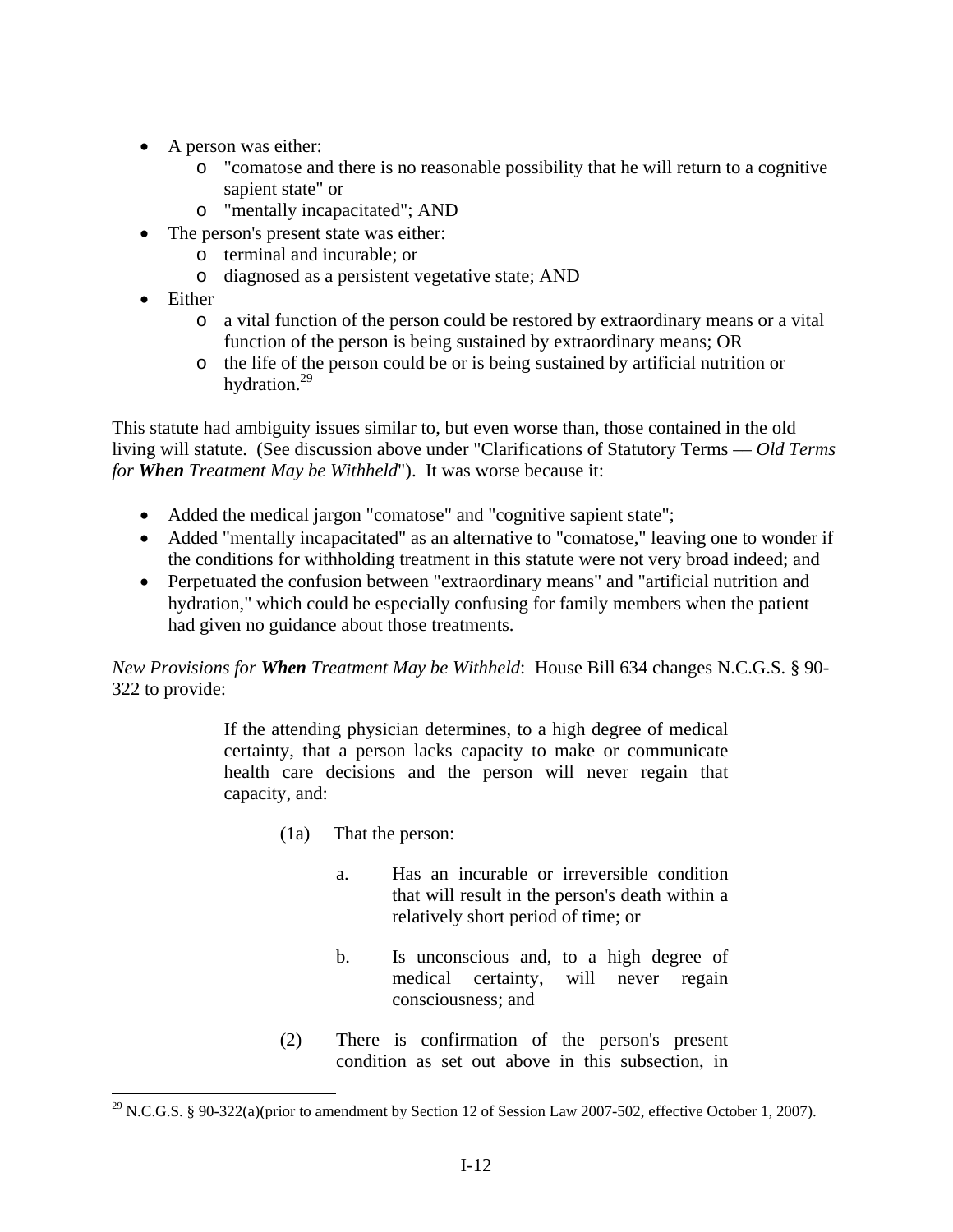- A person was either:
	- o "comatose and there is no reasonable possibility that he will return to a cognitive sapient state" or
	- o "mentally incapacitated"; AND
- The person's present state was either:
	- o terminal and incurable; or
	- o diagnosed as a persistent vegetative state; AND
- Either

 $\overline{a}$ 

- o a vital function of the person could be restored by extraordinary means or a vital function of the person is being sustained by extraordinary means; OR
- o the life of the person could be or is being sustained by artificial nutrition or hydration.<sup>29</sup>

This statute had ambiguity issues similar to, but even worse than, those contained in the old living will statute. (See discussion above under "Clarifications of Statutory Terms –– *Old Terms for When Treatment May be Withheld*"). It was worse because it:

- Added the medical jargon "comatose" and "cognitive sapient state";
- Added "mentally incapacitated" as an alternative to "comatose," leaving one to wonder if the conditions for withholding treatment in this statute were not very broad indeed; and
- Perpetuated the confusion between "extraordinary means" and "artificial nutrition and hydration," which could be especially confusing for family members when the patient had given no guidance about those treatments.

*New Provisions for When Treatment May be Withheld*: House Bill 634 changes N.C.G.S. § 90- 322 to provide:

> If the attending physician determines, to a high degree of medical certainty, that a person lacks capacity to make or communicate health care decisions and the person will never regain that capacity, and:

- (1a) That the person:
	- a. Has an incurable or irreversible condition that will result in the person's death within a relatively short period of time; or
	- b. Is unconscious and, to a high degree of medical certainty, will never regain consciousness; and
- (2) There is confirmation of the person's present condition as set out above in this subsection, in

<sup>&</sup>lt;sup>29</sup> N.C.G.S. § 90-322(a)(prior to amendment by Section 12 of Session Law 2007-502, effective October 1, 2007).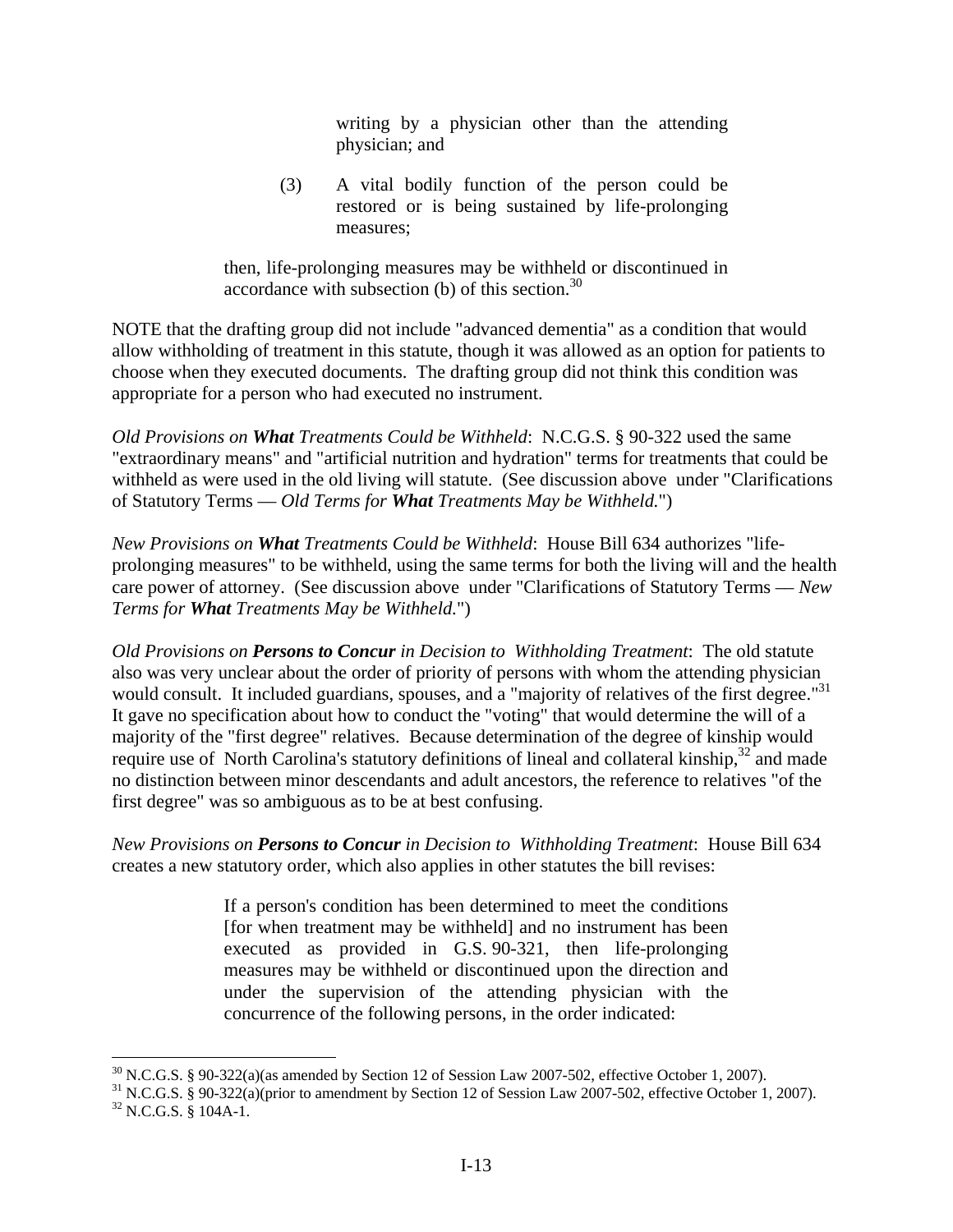writing by a physician other than the attending physician; and

(3) A vital bodily function of the person could be restored or is being sustained by life-prolonging measures;

then, life-prolonging measures may be withheld or discontinued in accordance with subsection  $(b)$  of this section.<sup>30</sup>

NOTE that the drafting group did not include "advanced dementia" as a condition that would allow withholding of treatment in this statute, though it was allowed as an option for patients to choose when they executed documents. The drafting group did not think this condition was appropriate for a person who had executed no instrument.

*Old Provisions on What Treatments Could be Withheld*: N.C.G.S. § 90-322 used the same "extraordinary means" and "artificial nutrition and hydration" terms for treatments that could be withheld as were used in the old living will statute. (See discussion above under "Clarifications of Statutory Terms –– *Old Terms for What Treatments May be Withheld.*")

*New Provisions on What Treatments Could be Withheld*: House Bill 634 authorizes "lifeprolonging measures" to be withheld, using the same terms for both the living will and the health care power of attorney. (See discussion above under "Clarifications of Statutory Terms –– *New Terms for What Treatments May be Withheld.*")

*Old Provisions on Persons to Concur in Decision to Withholding Treatment*: The old statute also was very unclear about the order of priority of persons with whom the attending physician would consult. It included guardians, spouses, and a "majority of relatives of the first degree."<sup>31</sup> It gave no specification about how to conduct the "voting" that would determine the will of a majority of the "first degree" relatives. Because determination of the degree of kinship would require use of North Carolina's statutory definitions of lineal and collateral kinship,  $32$  and made no distinction between minor descendants and adult ancestors, the reference to relatives "of the first degree" was so ambiguous as to be at best confusing.

*New Provisions on Persons to Concur in Decision to Withholding Treatment*: House Bill 634 creates a new statutory order, which also applies in other statutes the bill revises:

> If a person's condition has been determined to meet the conditions [for when treatment may be withheld] and no instrument has been executed as provided in G.S. 90-321, then life-prolonging measures may be withheld or discontinued upon the direction and under the supervision of the attending physician with the concurrence of the following persons, in the order indicated:

 $30$  N.C.G.S. § 90-322(a)(as amended by Section 12 of Session Law 2007-502, effective October 1, 2007).

<sup>31</sup> N.C.G.S. § 90-322(a)(prior to amendment by Section 12 of Session Law 2007-502, effective October 1, 2007).  $32$  N.C.G.S. § 104A-1.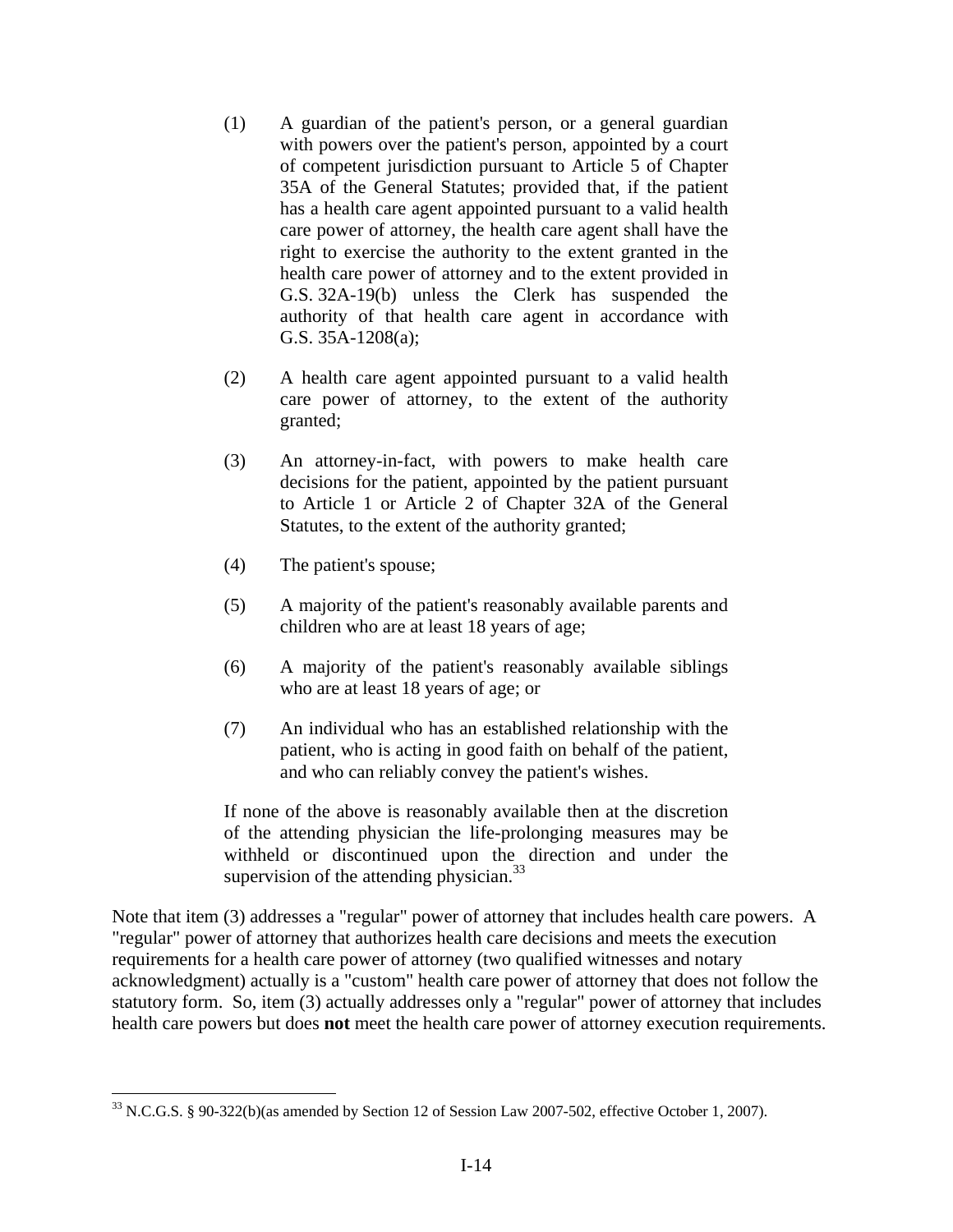- (1) A guardian of the patient's person, or a general guardian with powers over the patient's person, appointed by a court of competent jurisdiction pursuant to Article 5 of Chapter 35A of the General Statutes; provided that, if the patient has a health care agent appointed pursuant to a valid health care power of attorney, the health care agent shall have the right to exercise the authority to the extent granted in the health care power of attorney and to the extent provided in G.S. 32A-19(b) unless the Clerk has suspended the authority of that health care agent in accordance with G.S. 35A-1208(a);
- (2) A health care agent appointed pursuant to a valid health care power of attorney, to the extent of the authority granted;
- (3) An attorney-in-fact, with powers to make health care decisions for the patient, appointed by the patient pursuant to Article 1 or Article 2 of Chapter 32A of the General Statutes, to the extent of the authority granted;
- (4) The patient's spouse;

 $\overline{a}$ 

- (5) A majority of the patient's reasonably available parents and children who are at least 18 years of age;
- (6) A majority of the patient's reasonably available siblings who are at least 18 years of age; or
- (7) An individual who has an established relationship with the patient, who is acting in good faith on behalf of the patient, and who can reliably convey the patient's wishes.

If none of the above is reasonably available then at the discretion of the attending physician the life-prolonging measures may be withheld or discontinued upon the direction and under the supervision of the attending physician. $33$ 

Note that item (3) addresses a "regular" power of attorney that includes health care powers. A "regular" power of attorney that authorizes health care decisions and meets the execution requirements for a health care power of attorney (two qualified witnesses and notary acknowledgment) actually is a "custom" health care power of attorney that does not follow the statutory form. So, item (3) actually addresses only a "regular" power of attorney that includes health care powers but does **not** meet the health care power of attorney execution requirements.

<sup>33</sup> N.C.G.S. § 90-322(b)(as amended by Section 12 of Session Law 2007-502, effective October 1, 2007).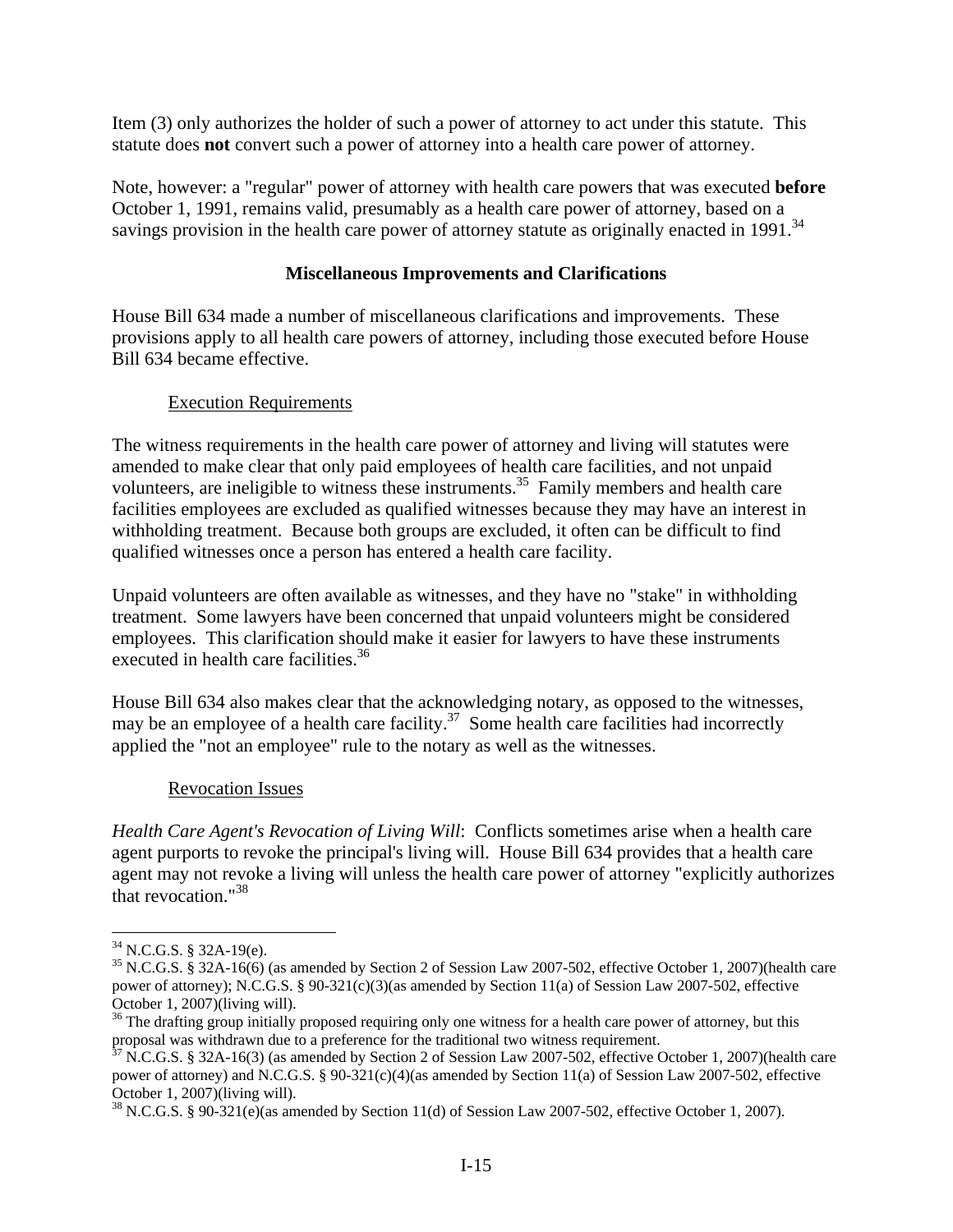Item (3) only authorizes the holder of such a power of attorney to act under this statute. This statute does **not** convert such a power of attorney into a health care power of attorney.

Note, however: a "regular" power of attorney with health care powers that was executed **before** October 1, 1991, remains valid, presumably as a health care power of attorney, based on a savings provision in the health care power of attorney statute as originally enacted in 1991.<sup>34</sup>

#### **Miscellaneous Improvements and Clarifications**

House Bill 634 made a number of miscellaneous clarifications and improvements. These provisions apply to all health care powers of attorney, including those executed before House Bill 634 became effective.

### Execution Requirements

The witness requirements in the health care power of attorney and living will statutes were amended to make clear that only paid employees of health care facilities, and not unpaid volunteers, are ineligible to witness these instruments.<sup>35</sup> Family members and health care facilities employees are excluded as qualified witnesses because they may have an interest in withholding treatment. Because both groups are excluded, it often can be difficult to find qualified witnesses once a person has entered a health care facility.

Unpaid volunteers are often available as witnesses, and they have no "stake" in withholding treatment. Some lawyers have been concerned that unpaid volunteers might be considered employees. This clarification should make it easier for lawyers to have these instruments executed in health care facilities.<sup>36</sup>

House Bill 634 also makes clear that the acknowledging notary, as opposed to the witnesses, may be an employee of a health care facility.<sup>37</sup> Some health care facilities had incorrectly applied the "not an employee" rule to the notary as well as the witnesses.

#### Revocation Issues

*Health Care Agent's Revocation of Living Will*: Conflicts sometimes arise when a health care agent purports to revoke the principal's living will. House Bill 634 provides that a health care agent may not revoke a living will unless the health care power of attorney "explicitly authorizes that revocation."38

 $34$  N.C.G.S. § 32A-19(e).

<sup>35</sup> N.C.G.S. § 32A-16(6) (as amended by Section 2 of Session Law 2007-502, effective October 1, 2007)(health care power of attorney); N.C.G.S. § 90-321(c)(3)(as amended by Section 11(a) of Session Law 2007-502, effective October 1, 2007)(living will).

 $36$  The drafting group initially proposed requiring only one witness for a health care power of attorney, but this proposal was withdrawn due to a preference for the traditional two witness requirement.<br><sup>37</sup> N.C.G.S. § 32A-16(3) (as amended by Section 2 of Session Law 2007-502, effective October 1, 2007)(health care

power of attorney) and N.C.G.S. § 90-321(c)(4)(as amended by Section 11(a) of Session Law 2007-502, effective October 1, 2007)(living will).

 $38$  N.C.G.S. § 90-321(e)(as amended by Section 11(d) of Session Law 2007-502, effective October 1, 2007).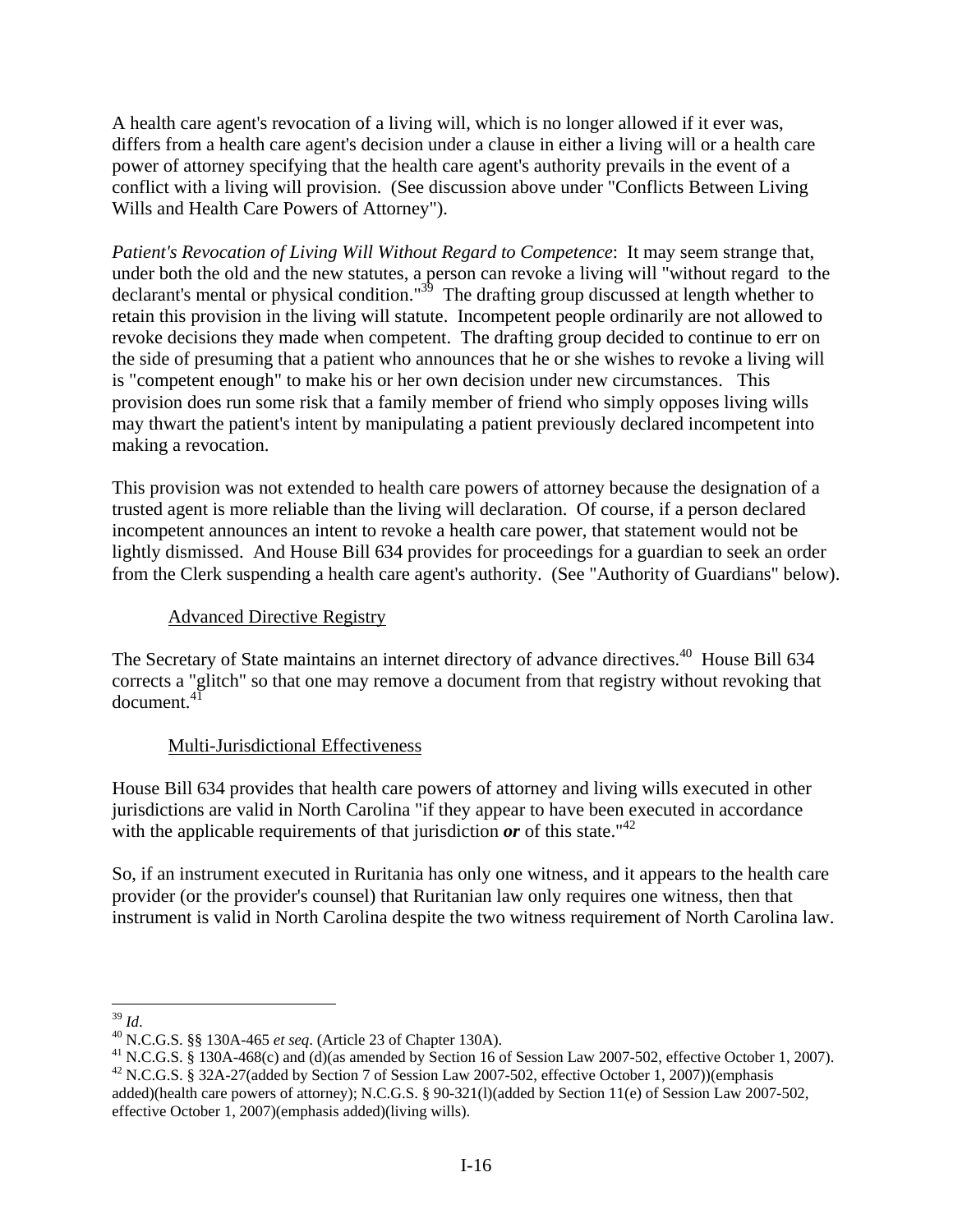A health care agent's revocation of a living will, which is no longer allowed if it ever was, differs from a health care agent's decision under a clause in either a living will or a health care power of attorney specifying that the health care agent's authority prevails in the event of a conflict with a living will provision. (See discussion above under "Conflicts Between Living Wills and Health Care Powers of Attorney").

*Patient's Revocation of Living Will Without Regard to Competence*: It may seem strange that, under both the old and the new statutes, a person can revoke a living will "without regard to the declarant's mental or physical condition."<sup>39</sup> The drafting group discussed at length whether to retain this provision in the living will statute. Incompetent people ordinarily are not allowed to revoke decisions they made when competent. The drafting group decided to continue to err on the side of presuming that a patient who announces that he or she wishes to revoke a living will is "competent enough" to make his or her own decision under new circumstances. This provision does run some risk that a family member of friend who simply opposes living wills may thwart the patient's intent by manipulating a patient previously declared incompetent into making a revocation.

This provision was not extended to health care powers of attorney because the designation of a trusted agent is more reliable than the living will declaration. Of course, if a person declared incompetent announces an intent to revoke a health care power, that statement would not be lightly dismissed. And House Bill 634 provides for proceedings for a guardian to seek an order from the Clerk suspending a health care agent's authority. (See "Authority of Guardians" below).

### Advanced Directive Registry

The Secretary of State maintains an internet directory of advance directives.<sup>40</sup> House Bill 634 corrects a "glitch" so that one may remove a document from that registry without revoking that document.<sup>41</sup>

## Multi-Jurisdictional Effectiveness

House Bill 634 provides that health care powers of attorney and living wills executed in other jurisdictions are valid in North Carolina "if they appear to have been executed in accordance with the applicable requirements of that jurisdiction  $or$  of this state.<sup>"42</sup>

So, if an instrument executed in Ruritania has only one witness, and it appears to the health care provider (or the provider's counsel) that Ruritanian law only requires one witness, then that instrument is valid in North Carolina despite the two witness requirement of North Carolina law.

 $39$  Id.

<sup>&</sup>lt;sup>40</sup> N.C.G.S. §§ 130A-465 *et seq*. (Article 23 of Chapter 130A).<br><sup>41</sup> N.C.G.S. § 130A-468(c) and (d)(as amended by Section 16 of Session Law 2007-502, effective October 1, 2007).<br><sup>42</sup> N.C.G.S. § 32A-27(added by Section 7

added)(health care powers of attorney); N.C.G.S. § 90-321(l)(added by Section 11(e) of Session Law 2007-502, effective October 1, 2007)(emphasis added)(living wills).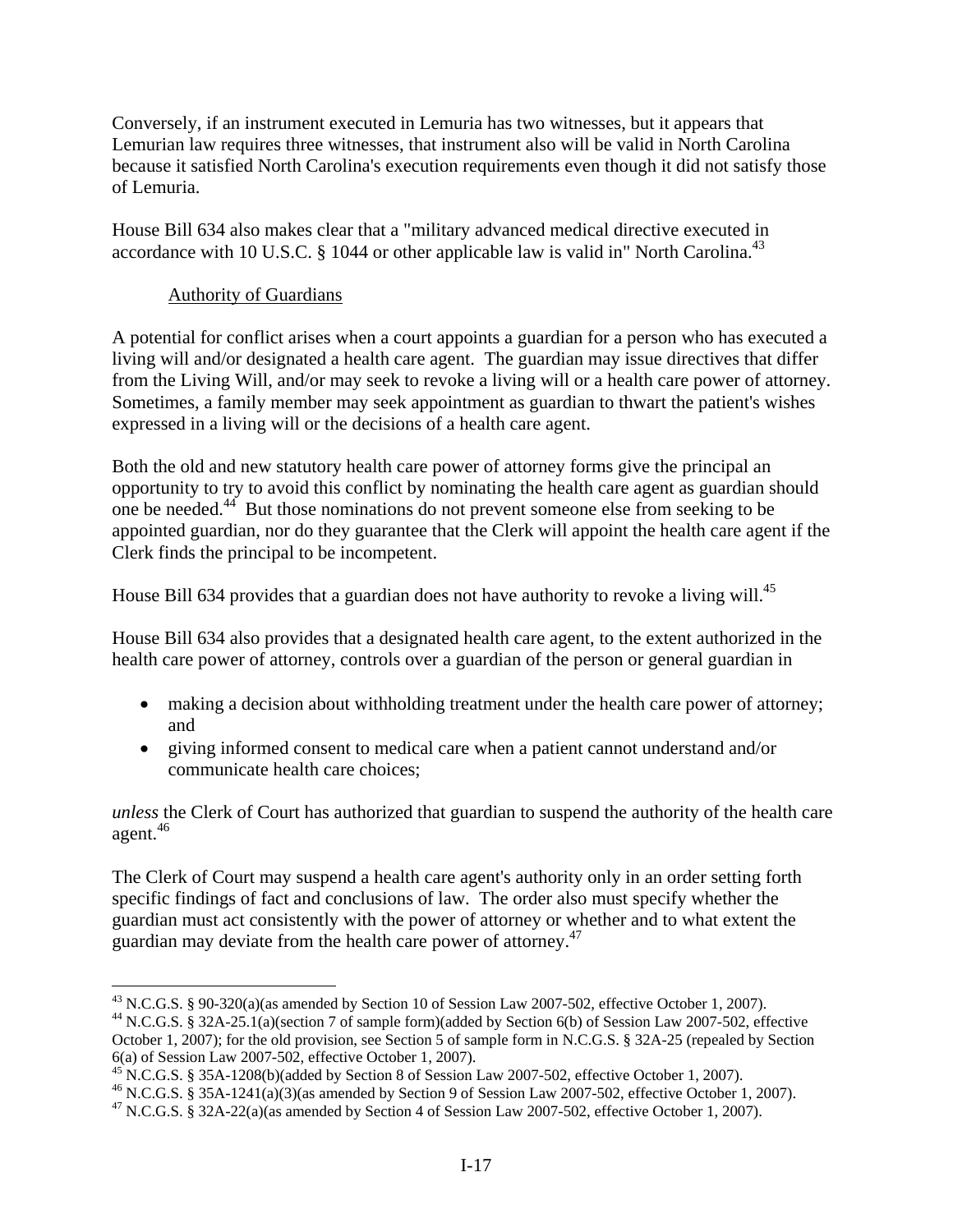Conversely, if an instrument executed in Lemuria has two witnesses, but it appears that Lemurian law requires three witnesses, that instrument also will be valid in North Carolina because it satisfied North Carolina's execution requirements even though it did not satisfy those of Lemuria.

House Bill 634 also makes clear that a "military advanced medical directive executed in accordance with 10 U.S.C.  $\S$  1044 or other applicable law is valid in" North Carolina.<sup>43</sup>

# Authority of Guardians

 $\overline{a}$ 

A potential for conflict arises when a court appoints a guardian for a person who has executed a living will and/or designated a health care agent. The guardian may issue directives that differ from the Living Will, and/or may seek to revoke a living will or a health care power of attorney. Sometimes, a family member may seek appointment as guardian to thwart the patient's wishes expressed in a living will or the decisions of a health care agent.

Both the old and new statutory health care power of attorney forms give the principal an opportunity to try to avoid this conflict by nominating the health care agent as guardian should one be needed.44 But those nominations do not prevent someone else from seeking to be appointed guardian, nor do they guarantee that the Clerk will appoint the health care agent if the Clerk finds the principal to be incompetent.

House Bill 634 provides that a guardian does not have authority to revoke a living will.<sup>45</sup>

House Bill 634 also provides that a designated health care agent, to the extent authorized in the health care power of attorney, controls over a guardian of the person or general guardian in

- making a decision about withholding treatment under the health care power of attorney; and
- giving informed consent to medical care when a patient cannot understand and/or communicate health care choices;

*unless* the Clerk of Court has authorized that guardian to suspend the authority of the health care agent.46

The Clerk of Court may suspend a health care agent's authority only in an order setting forth specific findings of fact and conclusions of law. The order also must specify whether the guardian must act consistently with the power of attorney or whether and to what extent the guardian may deviate from the health care power of attorney.47

 $^{43}$  N.C.G.S. § 90-320(a)(as amended by Section 10 of Session Law 2007-502, effective October 1, 2007).

<sup>44</sup> N.C.G.S. § 32A-25.1(a)(section 7 of sample form)(added by Section 6(b) of Session Law 2007-502, effective October 1, 2007); for the old provision, see Section 5 of sample form in N.C.G.S. § 32A-25 (repealed by Section 6(a) of Session Law 2007-502, effective October 1, 2007).

 $^{45}$  N.C.G.S. § 35A-1208(b)(added by Section 8 of Session Law 2007-502, effective October 1, 2007).

<sup>46</sup> N.C.G.S. § 35A-1241(a)(3)(as amended by Section 9 of Session Law 2007-502, effective October 1, 2007).

<sup>47</sup> N.C.G.S. § 32A-22(a)(as amended by Section 4 of Session Law 2007-502, effective October 1, 2007).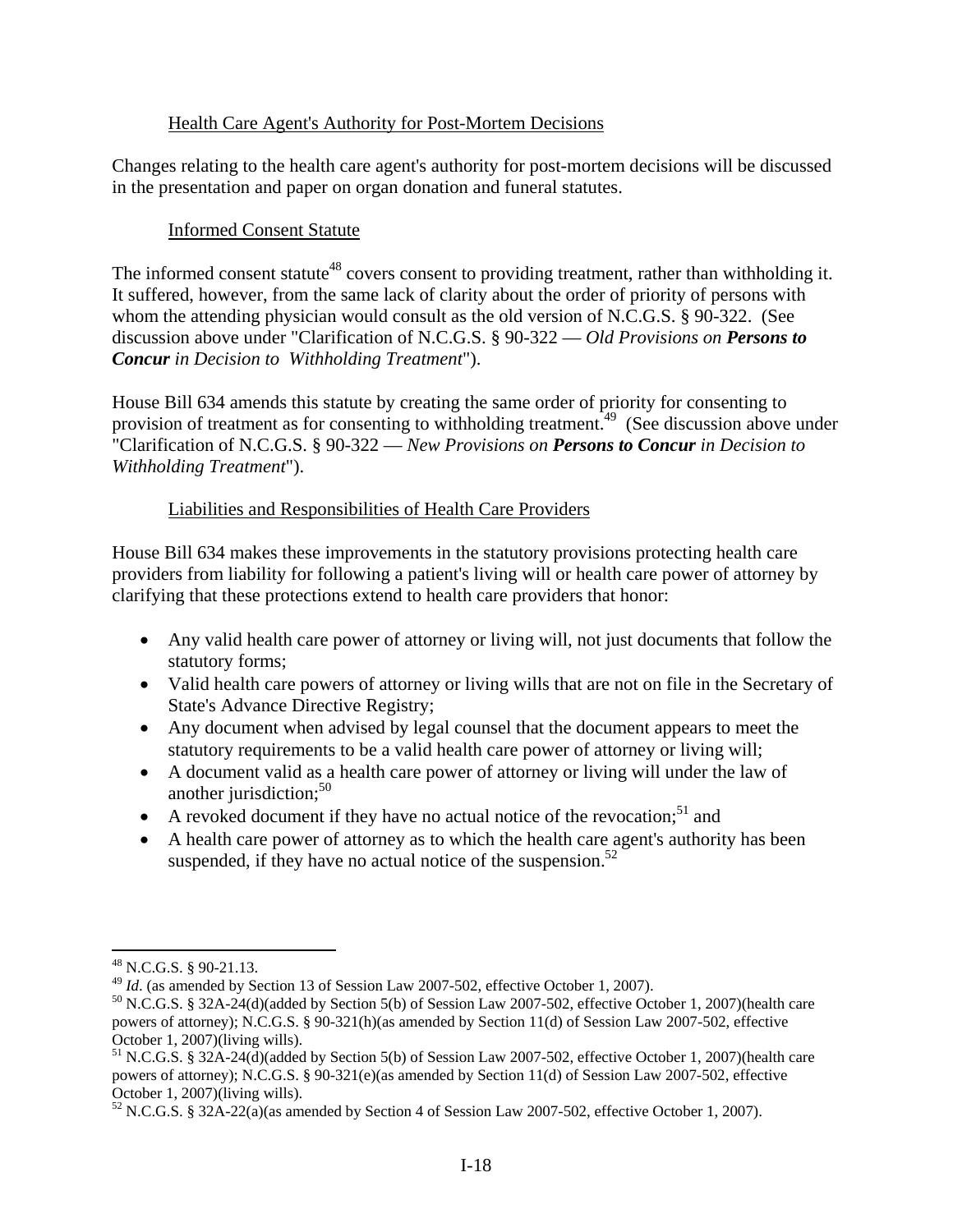### Health Care Agent's Authority for Post-Mortem Decisions

Changes relating to the health care agent's authority for post-mortem decisions will be discussed in the presentation and paper on organ donation and funeral statutes.

### Informed Consent Statute

The informed consent statute<sup>48</sup> covers consent to providing treatment, rather than withholding it. It suffered, however, from the same lack of clarity about the order of priority of persons with whom the attending physician would consult as the old version of N.C.G.S. § 90-322. (See discussion above under "Clarification of N.C.G.S. § 90-322 –– *Old Provisions on Persons to Concur in Decision to Withholding Treatment*").

House Bill 634 amends this statute by creating the same order of priority for consenting to provision of treatment as for consenting to withholding treatment.<sup>49</sup> (See discussion above under "Clarification of N.C.G.S. § 90-322 –– *New Provisions on Persons to Concur in Decision to Withholding Treatment*").

## Liabilities and Responsibilities of Health Care Providers

House Bill 634 makes these improvements in the statutory provisions protecting health care providers from liability for following a patient's living will or health care power of attorney by clarifying that these protections extend to health care providers that honor:

- Any valid health care power of attorney or living will, not just documents that follow the statutory forms;
- Valid health care powers of attorney or living wills that are not on file in the Secretary of State's Advance Directive Registry;
- Any document when advised by legal counsel that the document appears to meet the statutory requirements to be a valid health care power of attorney or living will;
- A document valid as a health care power of attorney or living will under the law of another jurisdiction; $50$
- A revoked document if they have no actual notice of the revocation;<sup>51</sup> and
- A health care power of attorney as to which the health care agent's authority has been suspended, if they have no actual notice of the suspension. $52$

 $\overline{a}$ 

<sup>&</sup>lt;sup>48</sup> N.C.G.S. § 90-21.13.<br><sup>49</sup> *Id.* (as amended by Section 13 of Session Law 2007-502, effective October 1, 2007).

<sup>&</sup>lt;sup>50</sup> N.C.G.S. § 32A-24(d)(added by Section 5(b) of Session Law 2007-502, effective October 1, 2007)(health care powers of attorney); N.C.G.S. § 90-321(h)(as amended by Section 11(d) of Session Law 2007-502, effective October 1, 2007)(living wills).

<sup>51</sup> N.C.G.S. § 32A-24(d)(added by Section 5(b) of Session Law 2007-502, effective October 1, 2007)(health care powers of attorney); N.C.G.S. § 90-321(e)(as amended by Section 11(d) of Session Law 2007-502, effective October 1, 2007)(living wills).

 $52$  N.C.G.S. § 32A-22(a)(as amended by Section 4 of Session Law 2007-502, effective October 1, 2007).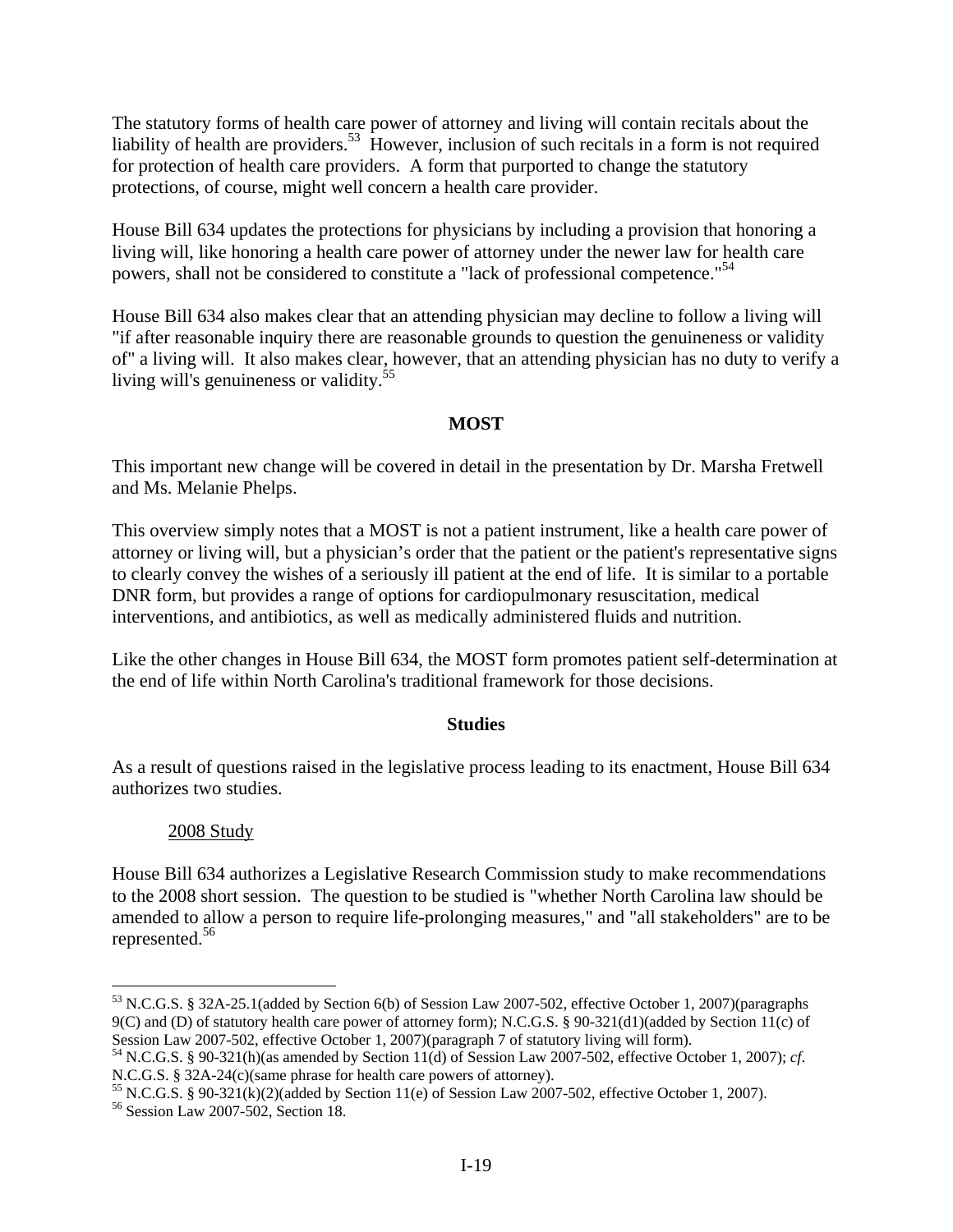The statutory forms of health care power of attorney and living will contain recitals about the liability of health are providers.<sup>53</sup> However, inclusion of such recitals in a form is not required for protection of health care providers. A form that purported to change the statutory protections, of course, might well concern a health care provider.

House Bill 634 updates the protections for physicians by including a provision that honoring a living will, like honoring a health care power of attorney under the newer law for health care powers, shall not be considered to constitute a "lack of professional competence."<sup>54</sup>

House Bill 634 also makes clear that an attending physician may decline to follow a living will "if after reasonable inquiry there are reasonable grounds to question the genuineness or validity of" a living will. It also makes clear, however, that an attending physician has no duty to verify a living will's genuineness or validity.<sup>55</sup>

### **MOST**

This important new change will be covered in detail in the presentation by Dr. Marsha Fretwell and Ms. Melanie Phelps.

This overview simply notes that a MOST is not a patient instrument, like a health care power of attorney or living will, but a physician's order that the patient or the patient's representative signs to clearly convey the wishes of a seriously ill patient at the end of life. It is similar to a portable DNR form, but provides a range of options for cardiopulmonary resuscitation, medical interventions, and antibiotics, as well as medically administered fluids and nutrition.

Like the other changes in House Bill 634, the MOST form promotes patient self-determination at the end of life within North Carolina's traditional framework for those decisions.

#### **Studies**

As a result of questions raised in the legislative process leading to its enactment, House Bill 634 authorizes two studies.

## 2008 Study

 $\overline{a}$ 

House Bill 634 authorizes a Legislative Research Commission study to make recommendations to the 2008 short session. The question to be studied is "whether North Carolina law should be amended to allow a person to require life-prolonging measures," and "all stakeholders" are to be represented.56

<sup>53</sup> N.C.G.S. § 32A-25.1(added by Section 6(b) of Session Law 2007-502, effective October 1, 2007)(paragraphs 9(C) and (D) of statutory health care power of attorney form); N.C.G.S. § 90-321(d1)(added by Section 11(c) of

Session Law 2007-502, effective October 1, 2007)(paragraph 7 of statutory living will form).<br><sup>54</sup> N.C.G.S. § 90-321(h)(as amended by Section 11(d) of Session Law 2007-502, effective October 1, 2007); *cf*.<br>N.C.G.S. § 32A-2

<sup>&</sup>lt;sup>55</sup> N.C.G.S. § 90-321(k)(2)(added by Section 11(e) of Session Law 2007-502, effective October 1, 2007).<br><sup>56</sup> Session Law 2007-502, Section 18.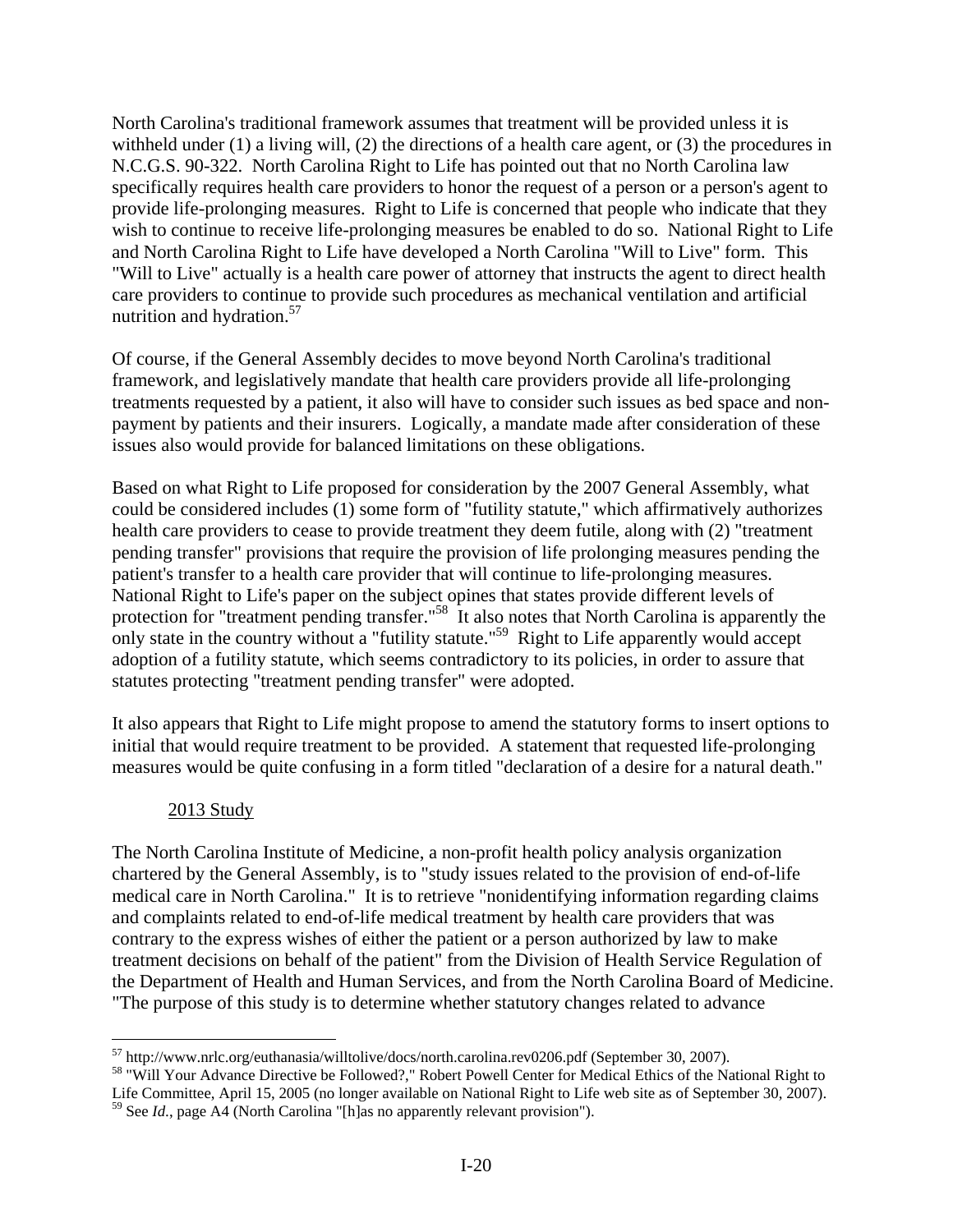North Carolina's traditional framework assumes that treatment will be provided unless it is withheld under (1) a living will, (2) the directions of a health care agent, or (3) the procedures in N.C.G.S. 90-322. North Carolina Right to Life has pointed out that no North Carolina law specifically requires health care providers to honor the request of a person or a person's agent to provide life-prolonging measures. Right to Life is concerned that people who indicate that they wish to continue to receive life-prolonging measures be enabled to do so. National Right to Life and North Carolina Right to Life have developed a North Carolina "Will to Live" form. This "Will to Live" actually is a health care power of attorney that instructs the agent to direct health care providers to continue to provide such procedures as mechanical ventilation and artificial nutrition and hydration.<sup>57</sup>

Of course, if the General Assembly decides to move beyond North Carolina's traditional framework, and legislatively mandate that health care providers provide all life-prolonging treatments requested by a patient, it also will have to consider such issues as bed space and nonpayment by patients and their insurers. Logically, a mandate made after consideration of these issues also would provide for balanced limitations on these obligations.

Based on what Right to Life proposed for consideration by the 2007 General Assembly, what could be considered includes (1) some form of "futility statute," which affirmatively authorizes health care providers to cease to provide treatment they deem futile, along with (2) "treatment pending transfer" provisions that require the provision of life prolonging measures pending the patient's transfer to a health care provider that will continue to life-prolonging measures. National Right to Life's paper on the subject opines that states provide different levels of protection for "treatment pending transfer."<sup>58</sup> It also notes that North Carolina is apparently the only state in the country without a "futility statute."<sup>59</sup> Right to Life apparently would accept adoption of a futility statute, which seems contradictory to its policies, in order to assure that statutes protecting "treatment pending transfer" were adopted.

It also appears that Right to Life might propose to amend the statutory forms to insert options to initial that would require treatment to be provided. A statement that requested life-prolonging measures would be quite confusing in a form titled "declaration of a desire for a natural death."

## 2013 Study

 $\overline{a}$ 

The North Carolina Institute of Medicine, a non-profit health policy analysis organization chartered by the General Assembly, is to "study issues related to the provision of end-of-life medical care in North Carolina." It is to retrieve "nonidentifying information regarding claims and complaints related to end-of-life medical treatment by health care providers that was contrary to the express wishes of either the patient or a person authorized by law to make treatment decisions on behalf of the patient" from the Division of Health Service Regulation of the Department of Health and Human Services, and from the North Carolina Board of Medicine. "The purpose of this study is to determine whether statutory changes related to advance

<sup>&</sup>lt;sup>57</sup> http://www.nrlc.org/euthanasia/willtolive/docs/north.carolina.rev0206.pdf (September 30, 2007).<br><sup>58</sup> "Will Your Advance Directive be Followed?," Robert Powell Center for Medical Ethics of the National Right to Life Committee, April 15, 2005 (no longer available on National Right to Life web site as of September 30, 2007). 59 See *Id*., page A4 (North Carolina "[h]as no apparently relevant provision").